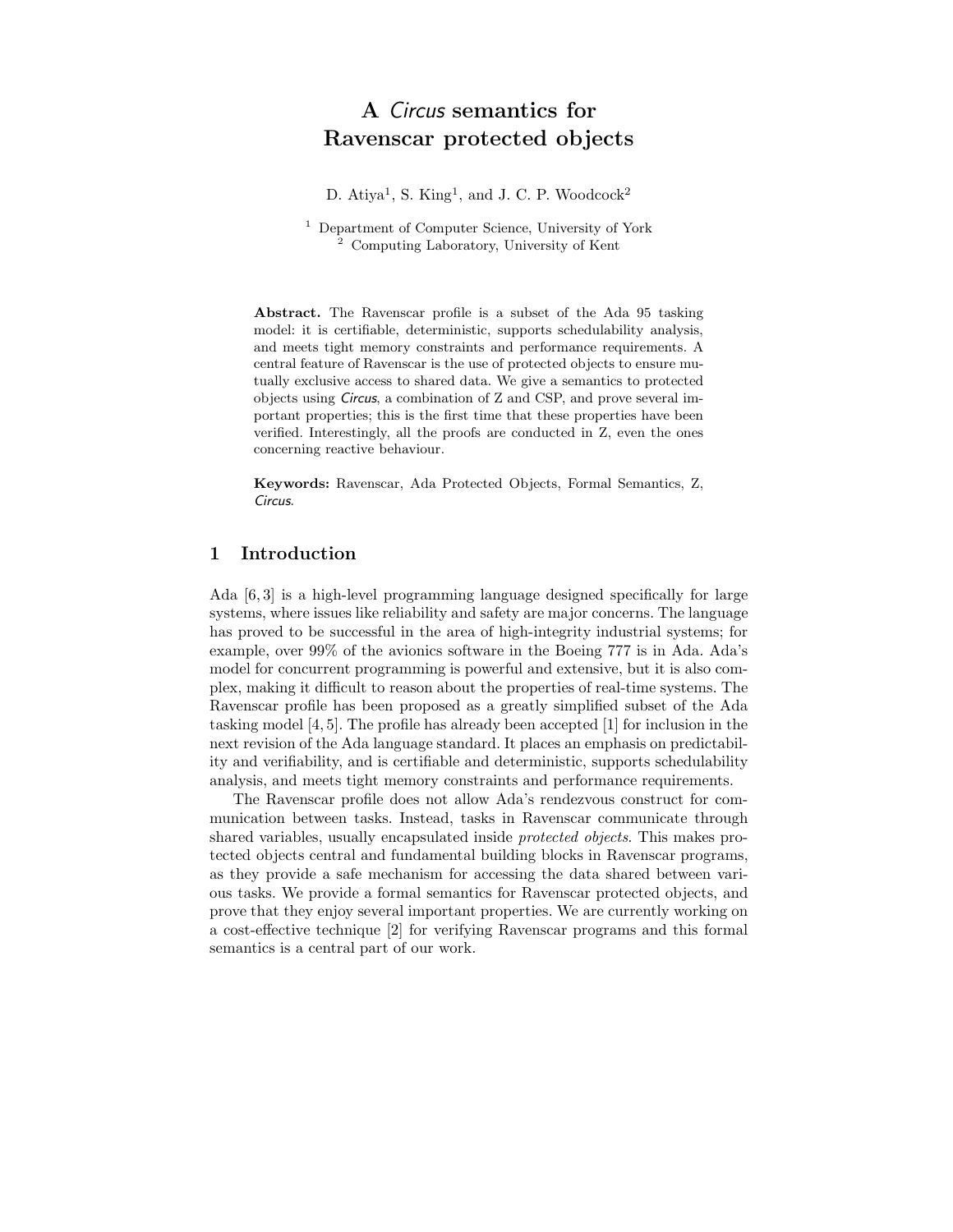# **A** *Circus* **semantics for Ravenscar protected objects**

D. Atiya<sup>1</sup>, S. King<sup>1</sup>, and J. C. P. Woodcock<sup>2</sup>

<sup>1</sup> Department of Computer Science, University of York <sup>2</sup> Computing Laboratory, University of Kent

**Abstract.** The Ravenscar profile is a subset of the Ada 95 tasking model: it is certifiable, deterministic, supports schedulability analysis, and meets tight memory constraints and performance requirements. A central feature of Ravenscar is the use of protected objects to ensure mutually exclusive access to shared data. We give a semantics to protected objects using *Circus*, a combination of Z and CSP, and prove several important properties; this is the first time that these properties have been verified. Interestingly, all the proofs are conducted in Z, even the ones concerning reactive behaviour.

**Keywords:** Ravenscar, Ada Protected Objects, Formal Semantics, Z, *Circus*.

## **1 Introduction**

Ada [6, 3] is a high-level programming language designed specifically for large systems, where issues like reliability and safety are major concerns. The language has proved to be successful in the area of high-integrity industrial systems; for example, over 99% of the avionics software in the Boeing 777 is in Ada. Ada's model for concurrent programming is powerful and extensive, but it is also complex, making it difficult to reason about the properties of real-time systems. The Ravenscar profile has been proposed as a greatly simplified subset of the Ada tasking model [4, 5]. The profile has already been accepted [1] for inclusion in the next revision of the Ada language standard. It places an emphasis on predictability and verifiability, and is certifiable and deterministic, supports schedulability analysis, and meets tight memory constraints and performance requirements.

The Ravenscar profile does not allow Ada's rendezvous construct for communication between tasks. Instead, tasks in Ravenscar communicate through shared variables, usually encapsulated inside *protected objects*. This makes protected objects central and fundamental building blocks in Ravenscar programs, as they provide a safe mechanism for accessing the data shared between various tasks. We provide a formal semantics for Ravenscar protected objects, and prove that they enjoy several important properties. We are currently working on a cost-effective technique [2] for verifying Ravenscar programs and this formal semantics is a central part of our work.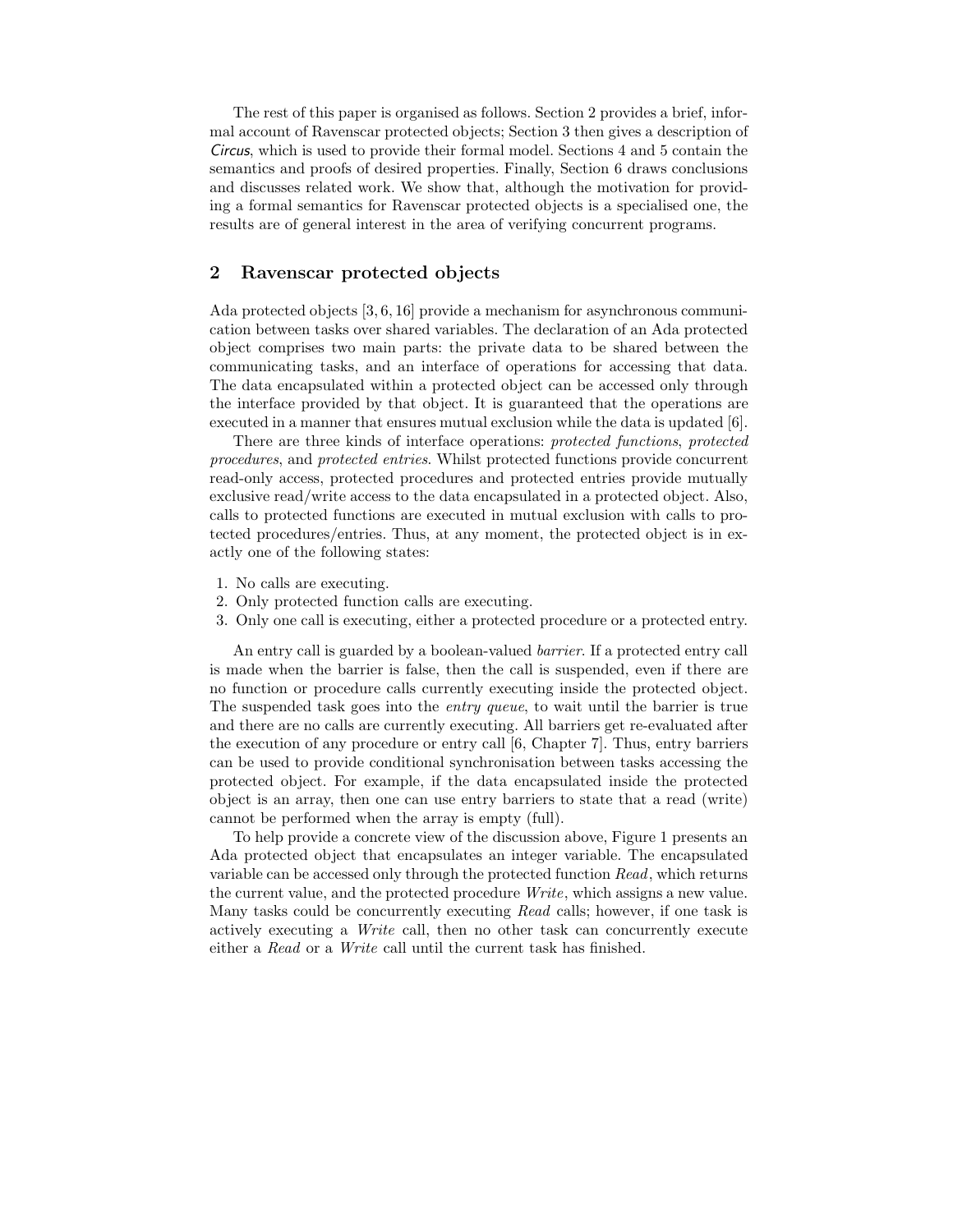The rest of this paper is organised as follows. Section 2 provides a brief, informal account of Ravenscar protected objects; Section 3 then gives a description of *Circus*, which is used to provide their formal model. Sections 4 and 5 contain the semantics and proofs of desired properties. Finally, Section 6 draws conclusions and discusses related work. We show that, although the motivation for providing a formal semantics for Ravenscar protected objects is a specialised one, the results are of general interest in the area of verifying concurrent programs.

# **2 Ravenscar protected objects**

Ada protected objects [3, 6, 16] provide a mechanism for asynchronous communication between tasks over shared variables. The declaration of an Ada protected object comprises two main parts: the private data to be shared between the communicating tasks, and an interface of operations for accessing that data. The data encapsulated within a protected object can be accessed only through the interface provided by that object. It is guaranteed that the operations are executed in a manner that ensures mutual exclusion while the data is updated [6].

There are three kinds of interface operations: *protected functions*, *protected procedures*, and *protected entries*. Whilst protected functions provide concurrent read-only access, protected procedures and protected entries provide mutually exclusive read/write access to the data encapsulated in a protected object. Also, calls to protected functions are executed in mutual exclusion with calls to protected procedures/entries. Thus, at any moment, the protected object is in exactly one of the following states:

- 1. No calls are executing.
- 2. Only protected function calls are executing.
- 3. Only one call is executing, either a protected procedure or a protected entry.

An entry call is guarded by a boolean-valued *barrier*. If a protected entry call is made when the barrier is false, then the call is suspended, even if there are no function or procedure calls currently executing inside the protected object. The suspended task goes into the *entry queue*, to wait until the barrier is true and there are no calls are currently executing. All barriers get re-evaluated after the execution of any procedure or entry call [6, Chapter 7]. Thus, entry barriers can be used to provide conditional synchronisation between tasks accessing the protected object. For example, if the data encapsulated inside the protected object is an array, then one can use entry barriers to state that a read (write) cannot be performed when the array is empty (full).

To help provide a concrete view of the discussion above, Figure 1 presents an Ada protected object that encapsulates an integer variable. The encapsulated variable can be accessed only through the protected function *Read*, which returns the current value, and the protected procedure *Write*, which assigns a new value. Many tasks could be concurrently executing *Read* calls; however, if one task is actively executing a *Write* call, then no other task can concurrently execute either a *Read* or a *Write* call until the current task has finished.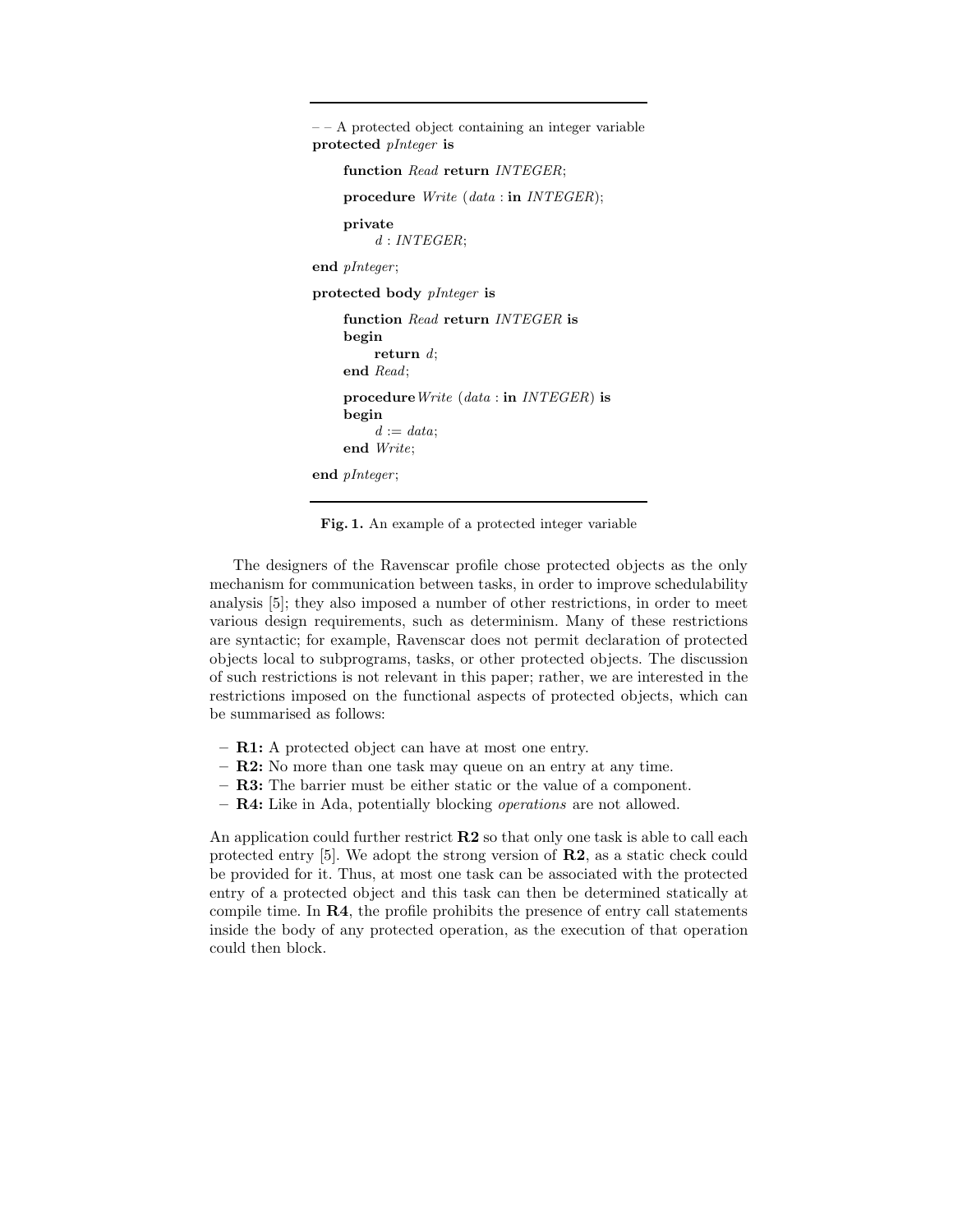```
- – A protected object containing an integer variable
protected pInteger is
    function Read return INTEGER;
    procedure Write (data : in INTEGER);
    private
         d : INTEGER;
end pInteger;
protected body pInteger is
    function Read return INTEGER is
    begin
         return d;
    end Read;
    procedureWrite (data : in INTEGER) is
    begin
         d := data;
    end Write;
end pInteger;
```
**Fig. 1.** An example of a protected integer variable

The designers of the Ravenscar profile chose protected objects as the only mechanism for communication between tasks, in order to improve schedulability analysis [5]; they also imposed a number of other restrictions, in order to meet various design requirements, such as determinism. Many of these restrictions are syntactic; for example, Ravenscar does not permit declaration of protected objects local to subprograms, tasks, or other protected objects. The discussion of such restrictions is not relevant in this paper; rather, we are interested in the restrictions imposed on the functional aspects of protected objects, which can be summarised as follows:

- **R1:** A protected object can have at most one entry.
- **R2:** No more than one task may queue on an entry at any time.
- **R3:** The barrier must be either static or the value of a component.
- **R4:** Like in Ada, potentially blocking *operations* are not allowed.

An application could further restrict **R2** so that only one task is able to call each protected entry [5]. We adopt the strong version of **R2**, as a static check could be provided for it. Thus, at most one task can be associated with the protected entry of a protected object and this task can then be determined statically at compile time. In **R4**, the profile prohibits the presence of entry call statements inside the body of any protected operation, as the execution of that operation could then block.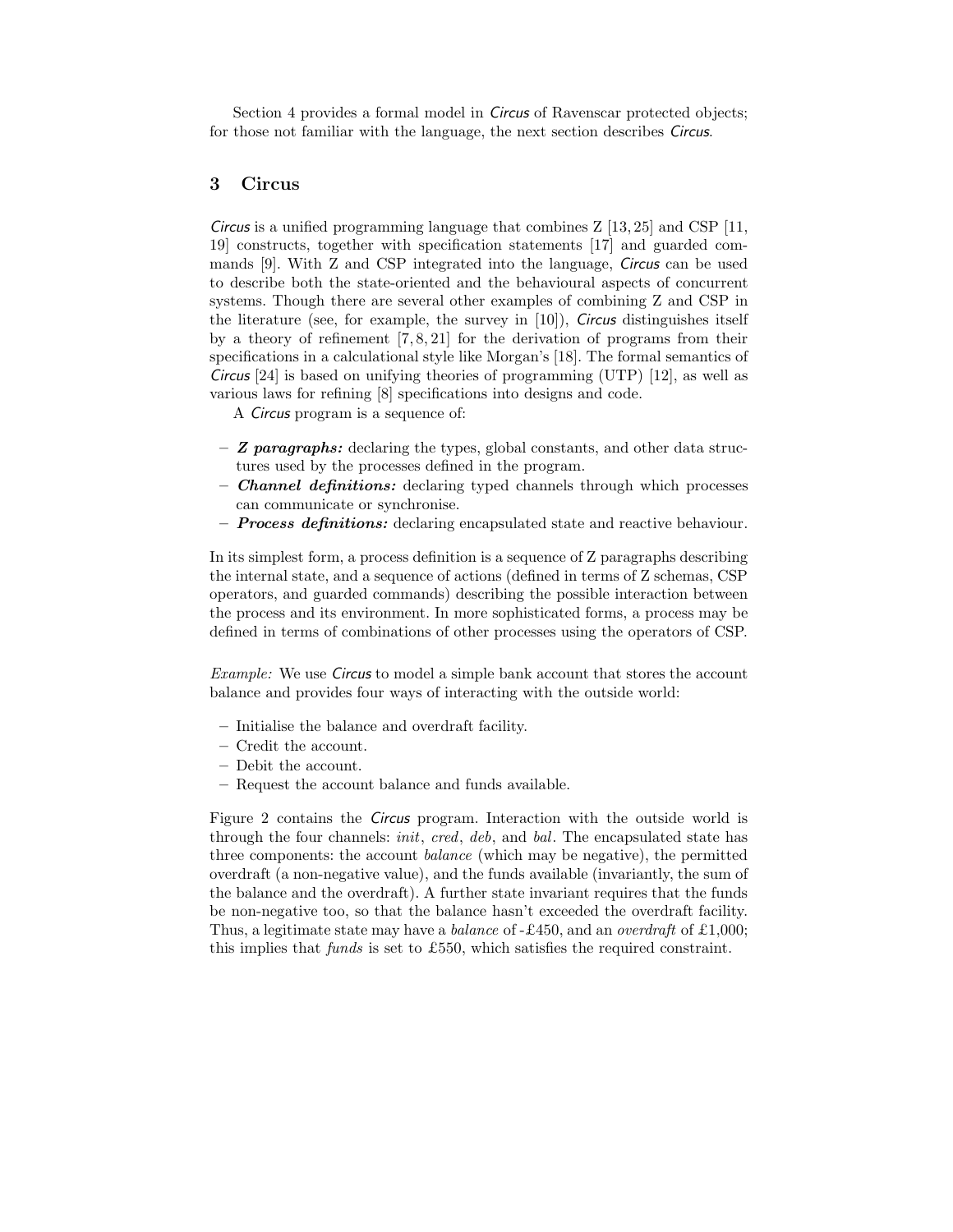Section 4 provides a formal model in *Circus* of Ravenscar protected objects; for those not familiar with the language, the next section describes *Circus*.

## **3 Circus**

*Circus* is a unified programming language that combines Z [13, 25] and CSP [11, 19] constructs, together with specification statements [17] and guarded commands [9]. With Z and CSP integrated into the language, *Circus* can be used to describe both the state-oriented and the behavioural aspects of concurrent systems. Though there are several other examples of combining Z and CSP in the literature (see, for example, the survey in [10]), *Circus* distinguishes itself by a theory of refinement [7, 8, 21] for the derivation of programs from their specifications in a calculational style like Morgan's [18]. The formal semantics of *Circus* [24] is based on unifying theories of programming (UTP) [12], as well as various laws for refining [8] specifications into designs and code.

A *Circus* program is a sequence of:

- **–** *Z paragraphs:* declaring the types, global constants, and other data structures used by the processes defined in the program.
- **–** *Channel definitions:* declaring typed channels through which processes can communicate or synchronise.
- **–** *Process definitions:* declaring encapsulated state and reactive behaviour.

In its simplest form, a process definition is a sequence of Z paragraphs describing the internal state, and a sequence of actions (defined in terms of Z schemas, CSP operators, and guarded commands) describing the possible interaction between the process and its environment. In more sophisticated forms, a process may be defined in terms of combinations of other processes using the operators of CSP.

*Example:* We use *Circus* to model a simple bank account that stores the account balance and provides four ways of interacting with the outside world:

- **–** Initialise the balance and overdraft facility.
- **–** Credit the account.
- **–** Debit the account.
- **–** Request the account balance and funds available.

Figure 2 contains the *Circus* program. Interaction with the outside world is through the four channels: *init*, *cred*, *deb*, and *bal*. The encapsulated state has three components: the account *balance* (which may be negative), the permitted overdraft (a non-negative value), and the funds available (invariantly, the sum of the balance and the overdraft). A further state invariant requires that the funds be non-negative too, so that the balance hasn't exceeded the overdraft facility. Thus, a legitimate state may have a *balance* of -£450, and an *overdraft* of £1,000; this implies that *funds* is set to £550, which satisfies the required constraint.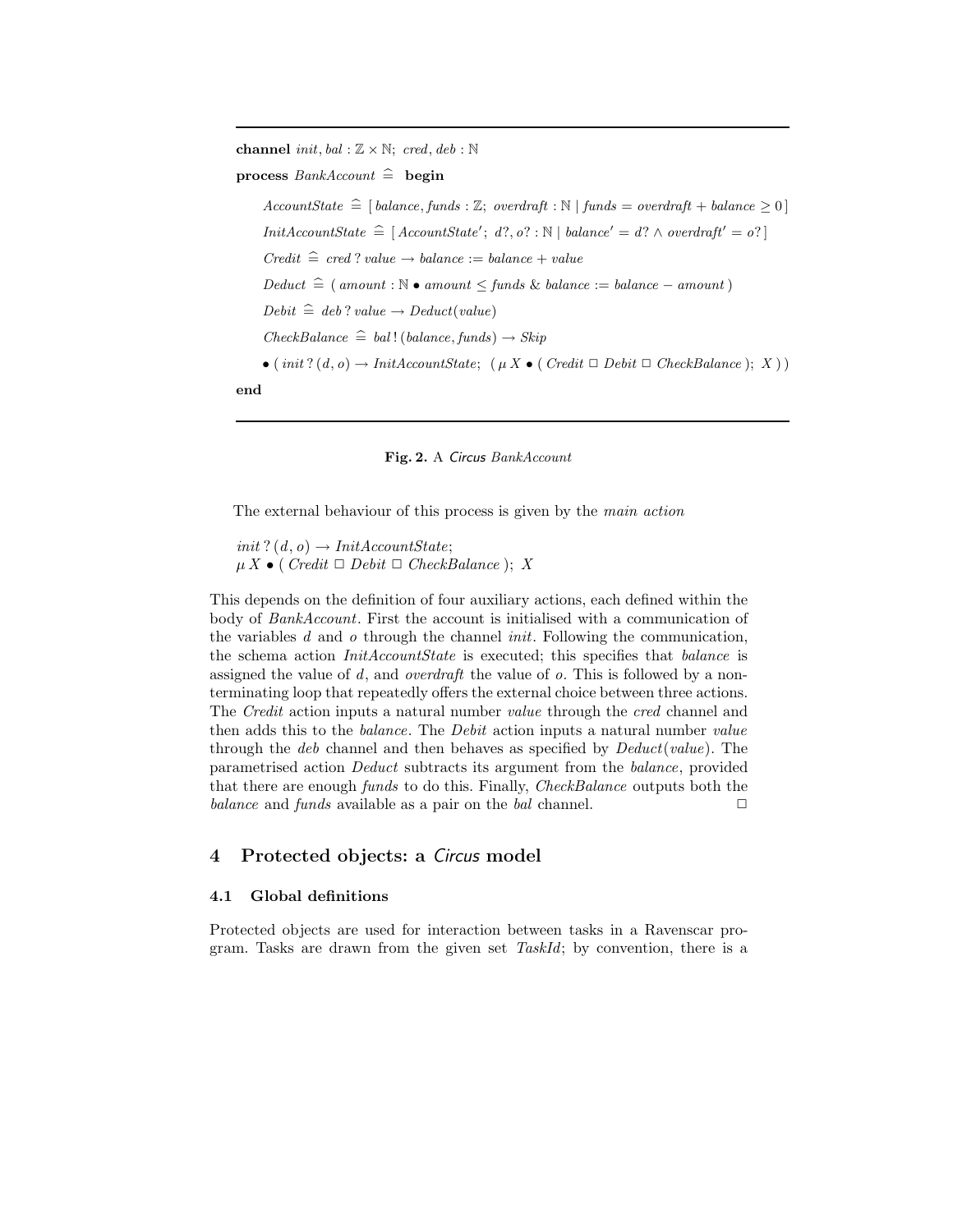**channel** *init*, *bal* :  $\mathbb{Z} \times \mathbb{N}$ ; *cred, deb* :  $\mathbb{N}$ 

**process**  $BankAccount \nightharpoonup$  **begin** 

```
AccountState \cong [balance, funds : \mathbb{Z}; overdraft : \mathbb{N} | funds = overdraft + balance \ge 0]InitAccountState \hat{=} [AccountState'; d?, o? : N | balance' = d? ∧ overdraft' = o?]
      Credit \hat{\equiv} \, credit \, 2 \, value \rightarrow balance := balance + valueDeduct \hat{=} (amount : \mathbb{N} \cdot \text{amount} \leq \text{ funds} \& \text{ balance} := \text{balance} - \text{amount})
      Debit \,\,\widehat{=} \,\, deb ? \,\,value \rightarrow Deduct(value)CheckBalance \cong bal! (balance, funds) \rightarrow Skip• ( init ? (d, o) \rightarrow InitAccountState; ( \mu X \bullet ( Credit \Box Debit \Box CheckBalance ); X ) )
end
```


The external behaviour of this process is given by the *main action*

 $init$ ?  $(d, o) \rightarrow InitAccountState;$  $\mu X \bullet (Credit \Box Debit \Box CheckBalance); X$ 

This depends on the definition of four auxiliary actions, each defined within the body of *BankAccount*. First the account is initialised with a communication of the variables *d* and *o* through the channel *init*. Following the communication, the schema action *InitAccountState* is executed; this specifies that *balance* is assigned the value of *d*, and *overdraft* the value of *o*. This is followed by a nonterminating loop that repeatedly offers the external choice between three actions. The *Credit* action inputs a natural number *value* through the *cred* channel and then adds this to the *balance*. The *Debit* action inputs a natural number *value* through the *deb* channel and then behaves as specified by *Deduct*(*value*). The parametrised action *Deduct* subtracts its argument from the *balance*, provided that there are enough *funds* to do this. Finally, *CheckBalance* outputs both the *balance* and *funds* available as a pair on the *bal* channel. □

## **4 Protected objects: a** *Circus* **model**

## **4.1 Global definitions**

Protected objects are used for interaction between tasks in a Ravenscar program. Tasks are drawn from the given set *TaskId*; by convention, there is a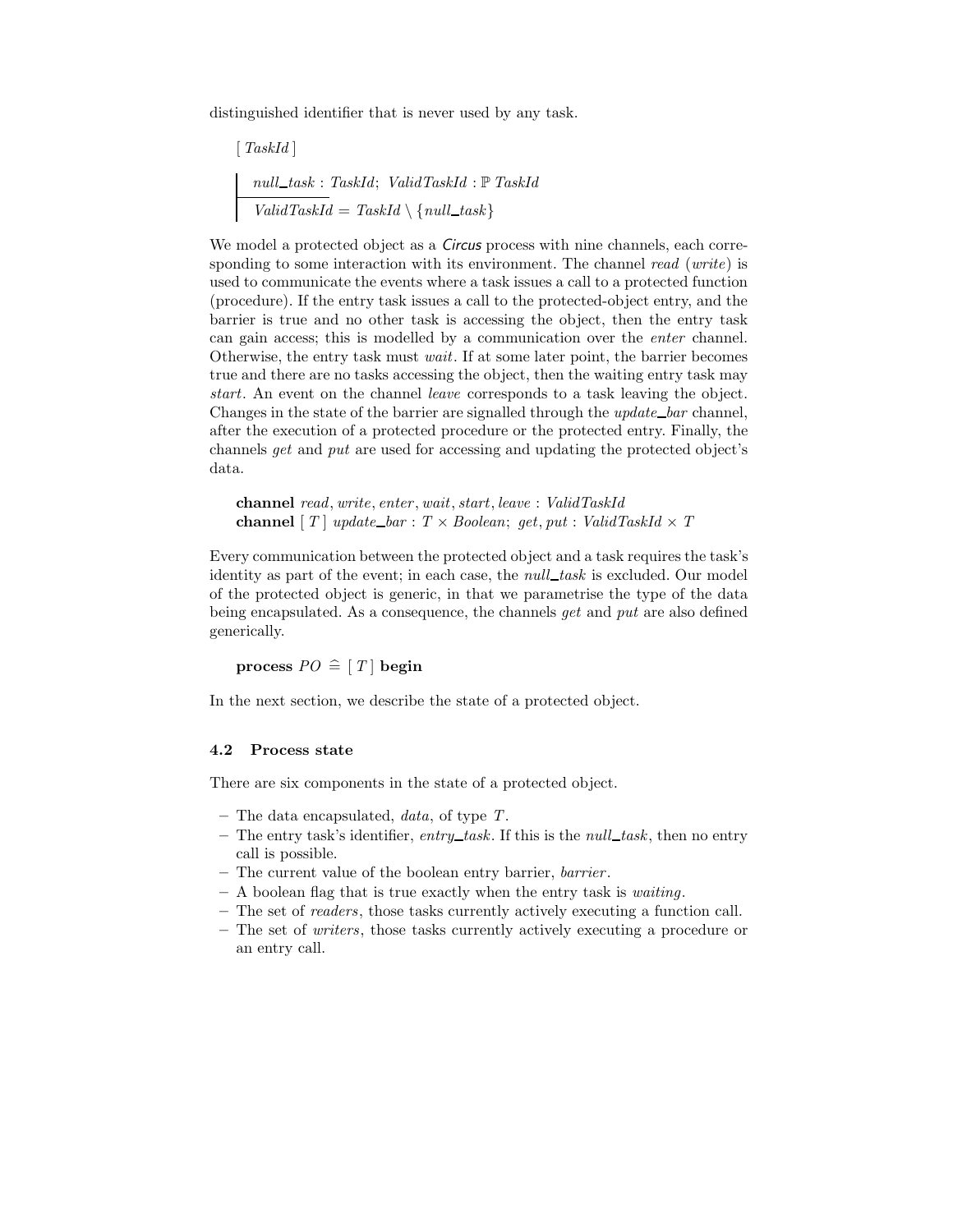distinguished identifier that is never used by any task.

$$
[\textit{TaskId}]
$$
  
\n
$$
\begin{array}{|c|c|c|}\n \hline null\_task: \textit{TaskId}; \textit{ValidTaskId}: \mathbb{P} \textit{TaskId} \\
 \hline \textit{ValidTaskId} = \textit{TaskId} \setminus \{null\_task\} \n\end{array}
$$

We model a protected object as a *Circus* process with nine channels, each corresponding to some interaction with its environment. The channel *read* (*write*) is used to communicate the events where a task issues a call to a protected function (procedure). If the entry task issues a call to the protected-object entry, and the barrier is true and no other task is accessing the object, then the entry task can gain access; this is modelled by a communication overthe *enter* channel. Otherwise, the entry task must *wait*. If at some later point, the barrier becomes true and there are no tasks accessing the object, then the waiting entry task may *start*. An event on the channel *leave* corresponds to a task leaving the object. Changes in the state of the barrier are signalled through the *update bar* channel, after the execution of a protected procedure or the protected entry. Finally, the channels *get* and *put* are used for accessing and updating the protected object's data.

**channel** *read*, *write*, *enter* , *wait*, *start*, *leave* : *ValidTaskId* **channel**  $[T] \nupdate\_bar : T \times Boolean; get, put : ValidTaskId \times T$ 

Every communication between the protected object and a task requires the task's identity as part of the event; in each case, the *null\_task* is excluded. Our model of the protected object is generic, in that we parametrise the type of the data being encapsulated. As a consequence, the channels *get* and *put* are also defined generically.

**process**  $PO \cong [T]$  **begin** 

In the next section, we describe the state of a protected object.

#### **4.2 Process state**

There are six components in the state of a protected object.

- **–** The data encapsulated, *data*, of type *T*.
- The entry task's identifier, *entry\_task*. If this is the *null\_task*, then no entry call is possible.
- **–** The current value of the boolean entry barrier, *barrier* .
- **–** A boolean flag that is true exactly when the entry task is *waiting*.
- **–** The set of *readers*, those tasks currently actively executing a function call.
- **–** The set of *writers*, those tasks currently actively executing a procedure or an entry call.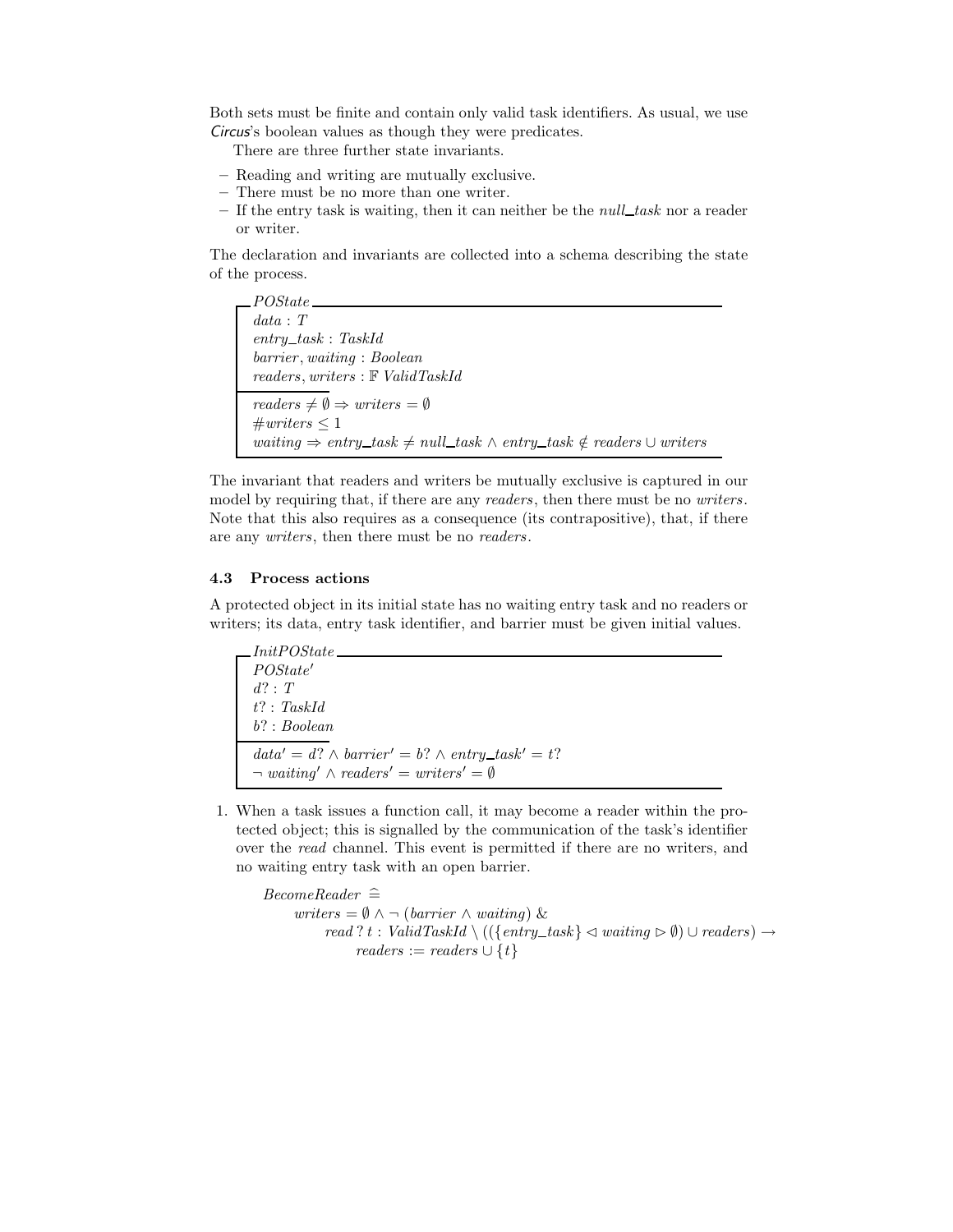Both sets must be finite and contain only valid task identifiers. As usual, we use *Circus*'s boolean values as though they were predicates.

There are three further state invariants.

- **–** Reading and writing are mutually exclusive.
- **–** There must be no more than one writer.
- **–** If the entry task is waiting, then it can neither be the *null task* nora reader or writer.

The declaration and invariants are collected into a schema describing the state of the process.

*POState data* : *T entry task* : *TaskId barrier* , *waiting* : *Boolean readers*, *writers* : F *ValidTaskId*  $readers \neq \emptyset \Rightarrow writers = \emptyset$  $#writes < 1$  $wating \Rightarrow entry\_task \neq null\_task \land entry\_task \notin readers \cup writers$ 

The invariant that readers and writers be mutually exclusive is captured in our model by requiring that, if there are any *readers*, then there must be no *writers*. Note that this also requires as a consequence (its contrapositive), that, if there are any *writers*, then there must be no *readers*.

#### **4.3 Process actions**

A protected object in its initial state has no waiting entry task and no readers or writers; its data, entry task identifier, and barrier must be given initial values.

| <i>InitPOState</i> .                                                            |
|---------------------------------------------------------------------------------|
| POState'                                                                        |
| d? : T                                                                          |
| $t$ ? : TaskId                                                                  |
| $b$ ?: Boolean                                                                  |
|                                                                                 |
| $data' = d? \wedge barrier' = b? \wedge entry\_task' = t?$                      |
| $\neg \textit{waiting'} \land \textit{readers'} = \textit{writes'} = \emptyset$ |
|                                                                                 |

1. When a task issues a function call, it may become a reader within the protected object; this is signalled by the communication of the task's identifier over the *read* channel. This event is permitted if there are no writers, and no waiting entry task with an open barrier.

```
BecauseReader \congwriters = \emptyset ∧ ¬ (barrier ∧ waiting) &
             read ? t : ValidTaskId \setminus (({entry\_task} \leq waiting \triangleright \emptyset) \cup readers) \rightarrowreaders := readers \cup \{t\}
```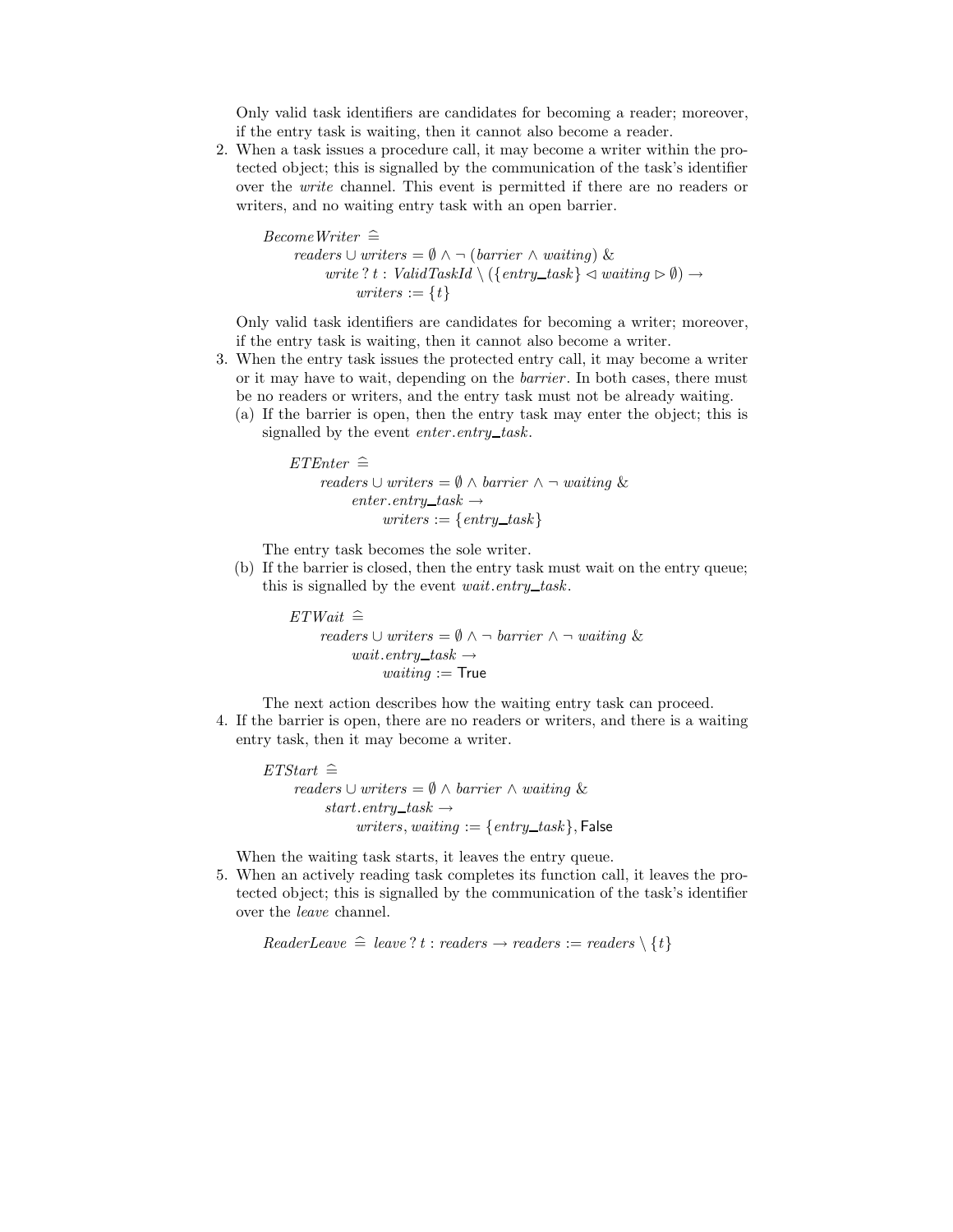Only valid task identifiers are candidates for becoming a reader; moreover, if the entry task is waiting, then it cannot also become a reader.

2. When a task issues a procedure call, it may become a writer within the protected object; this is signalled by the communication of the task's identifier over the *write* channel. This event is permitted if there are no readers or writers, and no waiting entry task with an open barrier.

```
BecomeWriter \hat{=}readers ∪ writers = \emptyset \land \neg (barrier ∧ waiting) &
              write ? t : ValidTaskId \setminus (\{entry\_task\} \triangleleft waiting \triangleright \emptyset) \rightarrowwriters := \{t\}
```
Only valid task identifiers are candidates for becoming a writer; moreover, if the entry task is waiting, then it cannot also become a writer.

- 3. When the entry task issues the protected entry call, it may become a writer orit may have to wait, depending on the *barrier* . In both cases, there must be no readers or writers, and the entry task must not be already waiting.
	- (a) If the barrier is open, then the entry task may enter the object; this is signalled by the event *enter* .*entry task*.

```
ETEnter \hat{=}readers ∪ writers = \emptyset ∧ barrier ∧ ¬ waiting &
           enter. entry\_task \rightarrowwriters := \{entry\_task\}
```
The entry task becomes the sole writer.

(b) If the barrier is closed, then the entry task must wait on the entry queue; this is signalled by the event *wait*.*entry task*.

> $ETWait \triangleq$ *readers* ∪ *writers* =  $\emptyset \land \neg$  *barrier*  $\land \neg$  *waiting* &  $wait.$ *entry*  $\_\$ *task*  $\rightarrow$  $$

The next action describes how the waiting entry task can proceed.

4. If the barrier is open, there are no readers or writers, and there is a waiting entry task, then it may become a writer.

 $ETStart \cong$ *readers* ∪ *writers* =  $\emptyset$  ∧ *barrier* ∧ *waiting* & *start*.*entry\_task*  $\rightarrow$  $writers, waiting := {entry\_task}$ , False

When the waiting task starts, it leaves the entry queue.

5. When an actively reading task completes its function call, it leaves the protected object; this is signalled by the communication of the task's identifier over the *leave* channel.

 $ReaderLeave \cong leave ? t : readers \rightarrow readers := readers \setminus \{t\}$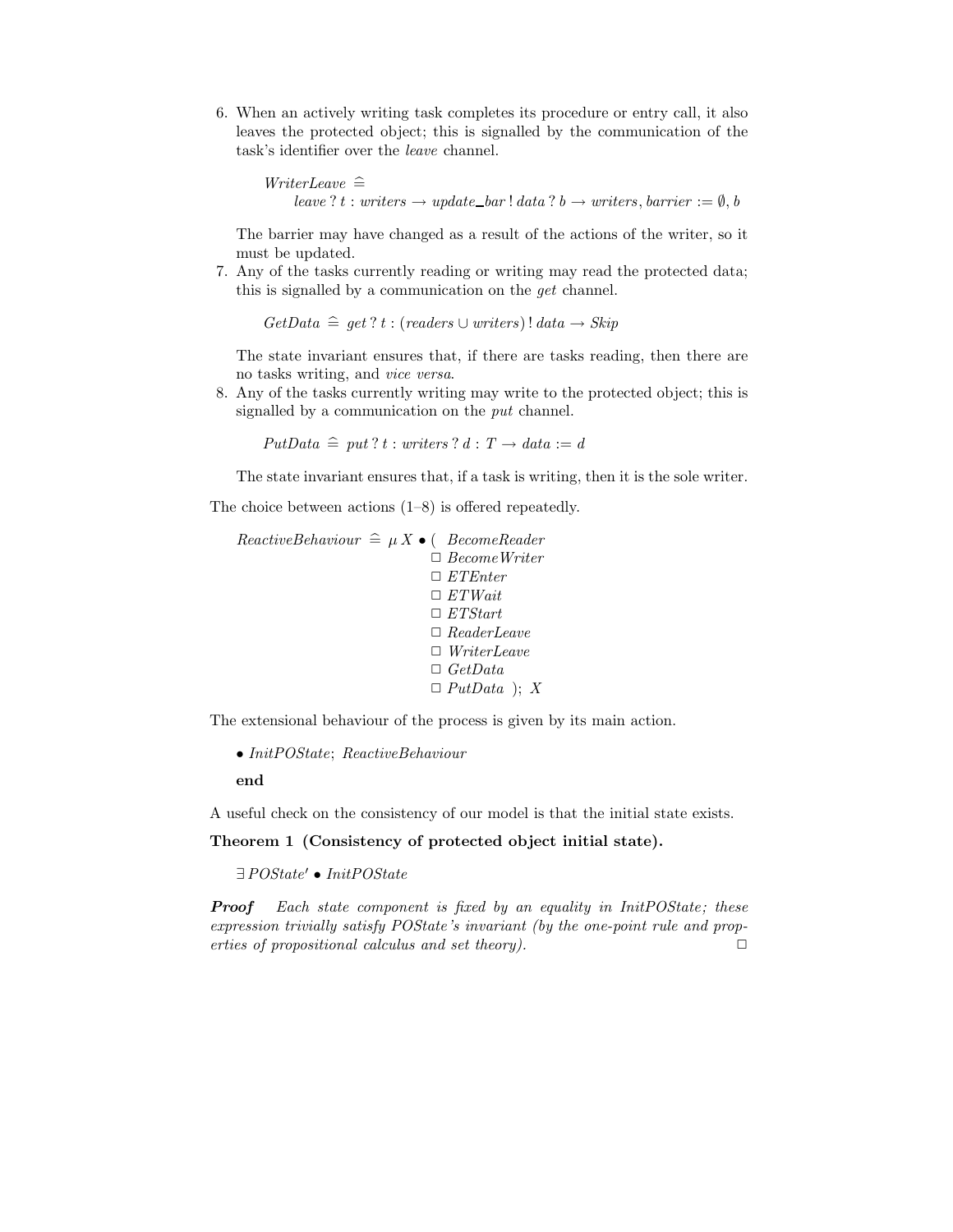6. When an actively writing task completes its procedure or entry call, it also leaves the protected object; this is signalled by the communication of the task's identifier over the *leave* channel.

 $WriterLeave \hat{=}$ *leave* ? *t* : *writers*  $\rightarrow$  *update\_bar* ! *data* ? *b*  $\rightarrow$  *writers*, *barrier* :=  $\emptyset$ , *b* 

The barrier may have changed as a result of the actions of the writer, so it must be updated.

7. Any of the tasks currently reading or writing may read the protected data; this is signalled by a communication on the *get* channel.

 $GetData \cong get ? t : (readers \cup writers) ! data \rightarrow Skip$ 

The state invariant ensures that, if there are tasks reading, then there are no tasks writing, and *vice versa*.

8. Any of the tasks currently writing may write to the protected object; this is signalled by a communication on the *put* channel.

 $PutData \triangleq put ? t : writers ? d : T \rightarrow data := d$ 

The state invariant ensures that, if a task is writing, then it is the sole writer.

The choice between actions (1–8) is offered repeatedly.

| $ReactiveBehavior \hat{=} \mu X \bullet (BecomeReader)$ |  |
|---------------------------------------------------------|--|
| $\Box$ Become Writer                                    |  |
| $\Box$ ETEnter                                          |  |
| $\Box$ ETWait                                           |  |
| $\Box$ ETStart                                          |  |
| $\Box$ ReaderLeave                                      |  |
| $\Box$ WriterLeave                                      |  |
| $\Box$ GetData                                          |  |
| $\Box$ PutData ); X                                     |  |
|                                                         |  |

The extensional behaviour of the process is given by its main action.

• *InitPOState*; *ReactiveBehaviour*

**end**

A useful check on the consistency of ourmodel is that the initial state exists.

#### **Theorem 1 (Consistency of protected object initial state).**

∃*POState* • *InitPOState*

*Proof* Each state component is fixed by an equality in InitPOState; these *expression trivially satisfy POState's invariant (by the one-point rule and prop* $e$ *erties of propositional calculus and set theory).*  $\square$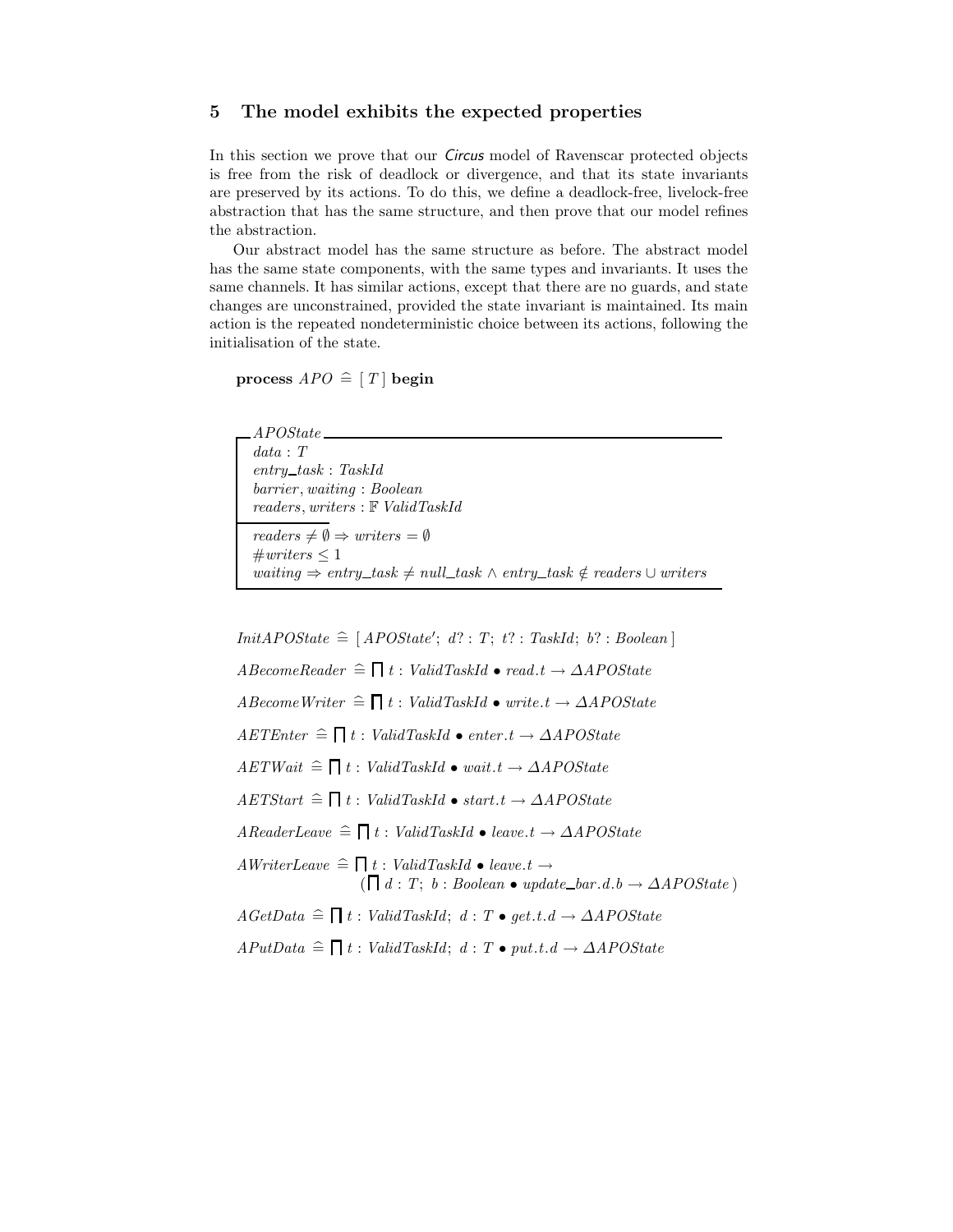## **5 The model exhibits the expected properties**

In this section we prove that our *Circus* model of Ravenscar protected objects is free from the risk of deadlock or divergence, and that its state invariants are preserved by its actions. To do this, we define a deadlock-free, livelock-free abstraction that has the same structure, and then prove that our model refines the abstraction.

Our abstract model has the same structure as before. The abstract model has the same state components, with the same types and invariants. It uses the same channels. It has similar actions, except that there are no guards, and state changes are unconstrained, provided the state invariant is maintained. Its main action is the repeated nondeterministic choice between its actions, following the initialisation of the state.

**process**  $APO \cong |T|$  **begin** 

| $\_\$                                                                                                |
|------------------------------------------------------------------------------------------------------|
| data: T                                                                                              |
| $entry\_task : TaskId$                                                                               |
| barrier, waiting: Boolean                                                                            |
| $readers, writers : \mathbb{F}$ ValidTaskId                                                          |
| $readers \neq \emptyset \Rightarrow writers = \emptyset$                                             |
| $\# writers < 1$                                                                                     |
| waiting $\Rightarrow$ entry_task $\neq$ null_task $\land$ entry_task $\notin$ readers $\cup$ writers |

 $Init APOState \cong [APOState'; d? : T; t? : TaskId; b? : Boolean]$ 

*ABecomeReader*  $\hat{=} \prod t$  : *ValidTaskId* • *read.t* → ∆*APOState* 

*ABecomeWriter*  $\hat{=} \prod t$  : *ValidTaskId* • *write.t* → ∆*APOState* 

 $AETER \nightharpoonup \prod t$  : *ValidTaskId* • *enter* .*t* → ∆*APOState* 

 $AETWait$   $\widehat{=} \prod t$  : *ValidTaskId* • *wait.t* → ∆*APOState* 

 $AETStart \nightharpoonup \prod t$ : *ValidTaskId* • *start*.*t* → ∆*APOState* 

*AReaderLeave* <sup>=</sup> *<sup>t</sup>* : *ValidTaskId* • *leave*.*<sup>t</sup>* <sup>→</sup> <sup>∆</sup>*APOState*

 $AWritereLawe \triangleq \prod t : ValidTaskId \bullet leave.t \rightarrow$ ( *d* : *T*; *b* : *Boolean* • *update bar* .*d*.*b* → ∆*APOState* )

*AGetData*  $\widehat{=} \prod t$  : *ValidTaskId*; *d* : *T*  $\bullet$  *get.t.d* → ∆*APOState* 

*APutData* <sup>=</sup> *<sup>t</sup>* : *ValidTaskId*; *<sup>d</sup>* : *<sup>T</sup>* • *put*.*t*.*<sup>d</sup>* <sup>→</sup> <sup>∆</sup>*APOState*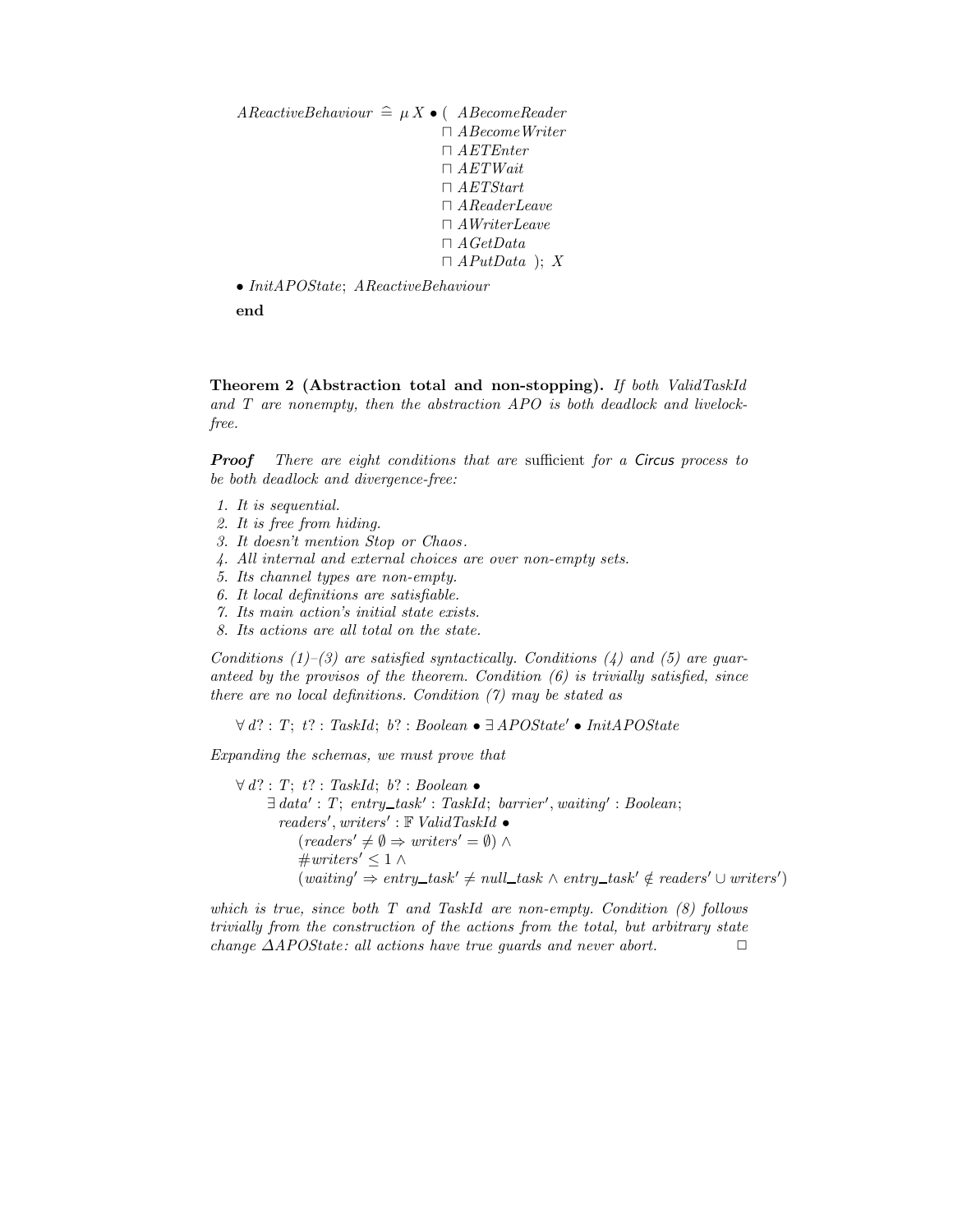$A$ *ReactiveBehaviour*  $\hat{=} \mu X \bullet (ABecomeReader)$  *ABecomeWriter AETEnter AETWait AETStart AReaderLeave AWriterLeave AGetData*  $\sqcap$  *APutData* ); *X* • *InitAPOState*; *AReactiveBehaviour*

**end**

**Theorem 2 (Abstraction total and non-stopping).** *If both ValidTaskId and T are nonempty, then the abstraction APO is both deadlock and livelockfree.*

*Proof There are eight conditions that are* sufficient *for a Circus process to be both deadlock and divergence-free:* 

- *1. It is sequential.*
- *2. It is free from hiding.*
- *3. It doesn't mention Stop or Chaos .*
- *4. All internal and external choices are over non-empty sets.*
- *5. Its channel types are non-empty.*
- *6. It local definitions are satisfiable.*
- *7. Its main action's initial state exists.*
- *8. Its actions are all total on the state.*

*Conditions (1)–(3) are satisfied syntactically. Conditions (4) and (5) are guaranteed by the provisos of the theorem. Condition (6) is trivially satisfied, since there are no local definitions. Condition (7) may be stated as*

∀ *d*? : *T*; *t*? : *TaskId*; *b*? : *Boolean* • ∃ *APOState* • *InitAPOState*

*Expanding the schemas, we must prove that*

∀ *d*? : *T*; *t*? : *TaskId*; *b*? : *Boolean* •  $\exists$   $data'$ :  $T$ ;  $entry\_task'$ :  $TaskId$ ;  $barrier'$ ,  $waiting'$ :  $Boolean$ ; *readers* , *writers* : F *ValidTaskId* •  $(readers' \neq \emptyset \Rightarrow writers' = \emptyset) \land$  $#writes' \leq 1 \wedge$  $(waiting' \Rightarrow entry\_task' \neq null\_task \land entry\_task' \notin readers' \cup writers')$ 

*which is true, since both T and TaskId are non-empty. Condition (8) follows trivially from the construction of the actions from the total, but arbitrary state change* ∆*APOState: all actions have true guards and never abort.* ✷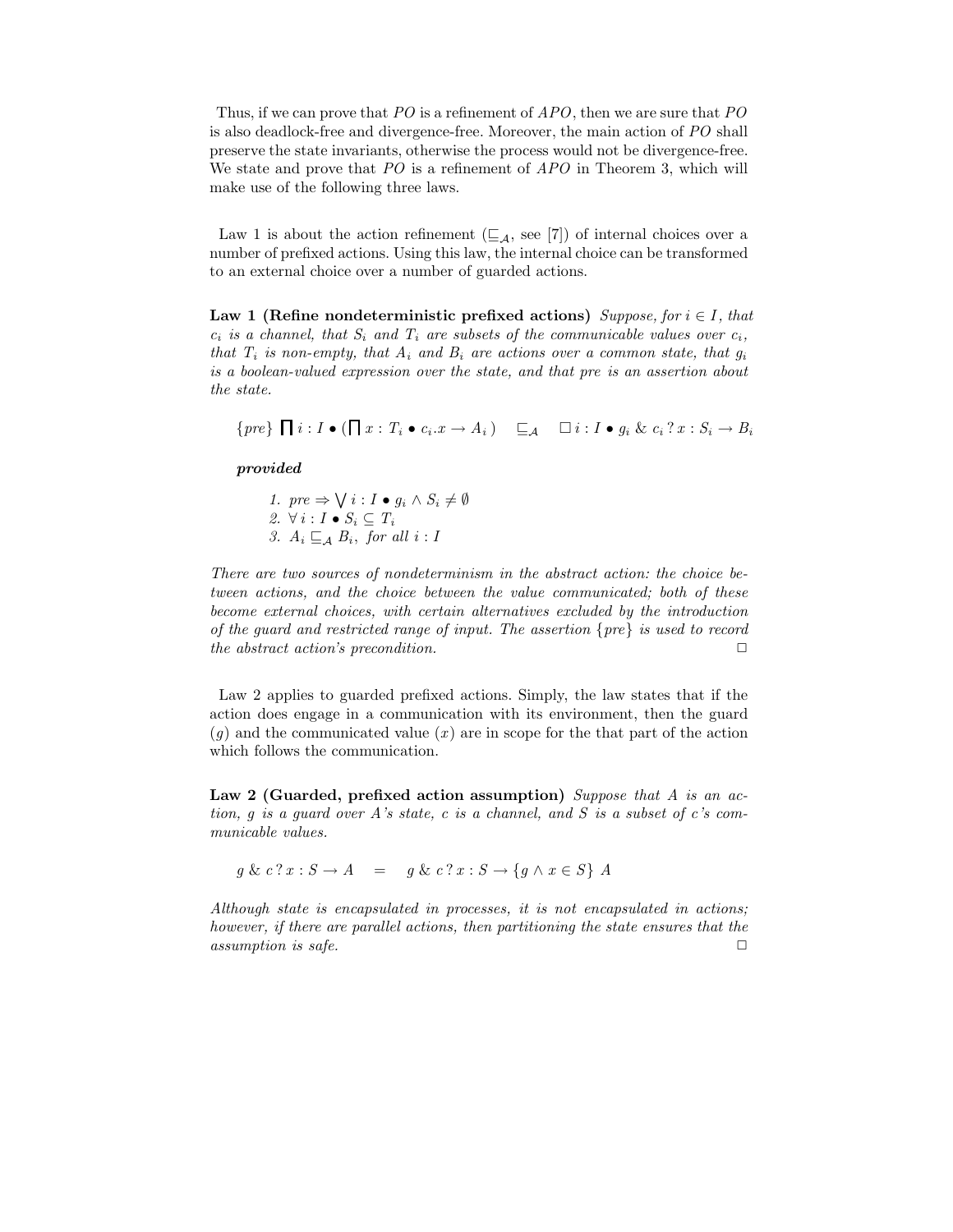Thus, if we can prove that *PO* is a refinement of *APO*, then we are sure that *PO* is also deadlock-free and divergence-free. Moreover, the main action of *PO* shall preserve the state invariants, otherwise the process would not be divergence-free. We state and prove that *PO* is a refinement of *APO* in Theorem 3, which will make use of the following three laws.

Law 1 is about the action refinement  $(\sqsubseteq_A,$  see [7]) of internal choices over a number of prefixed actions. Using this law, the internal choice can be transformed to an external choice over a number of guarded actions.

**Law 1 (Refine nondeterministic prefixed actions)** *Suppose, for*  $i \in I$ *, that*  $c_i$  *is a channel, that*  $S_i$  *and*  $T_i$  *are subsets of the communicable values over*  $c_i$ *, that*  $T_i$  *is non-empty, that*  $A_i$  *and*  $B_i$  *are actions over a common state, that*  $g_i$ *is a boolean-valued expression over the state, and that pre is an assertion about the state.*

 $\{pre\} \prod_i i : I \bullet (\prod x : T_i \bullet c_i.x \rightarrow A_i) \subseteq A \cup \prod_i i : I \bullet g_i \& c_i ? x : S_i \rightarrow B_i$ 

*provided*

*1.*  $pre \Rightarrow \bigvee i : I \bullet g_i \land S_i \neq \emptyset$ *2.* ∀ *i* : *I* •  $S_i$  ⊆  $T_i$ *3.*  $A_i \sqsubseteq_A B_i$ , for all  $i: I$ 

*There are two sources of nondeterminism in the abstract action: the choice between actions, and the choice between the value communicated; both of these become external choices, with certain alternatives excluded by the introduction of the guard and restricted range of input. The assertion* {*pre*} *is used to record the abstract action's precondition.* 

Law 2 applies to guarded prefixed actions. Simply, the law states that if the action does engage in a communication with its environment, then the guard  $(g)$  and the communicated value  $(x)$  are in scope for the that part of the action which follows the communication.

**Law 2 (Guarded, prefixed action assumption)** *Suppose that A is an action, g is a guard over A's state, c is a channel, and S is a subset of c's communicable values.*

$$
g \& c ? x : S \rightarrow A = g \& c ? x : S \rightarrow \{g \land x \in S\} A
$$

*Although state is encapsulated in processes, it is not encapsulated in actions; however, if there are parallel actions, then partitioning the state ensures that the assumption is safe.*  $\square$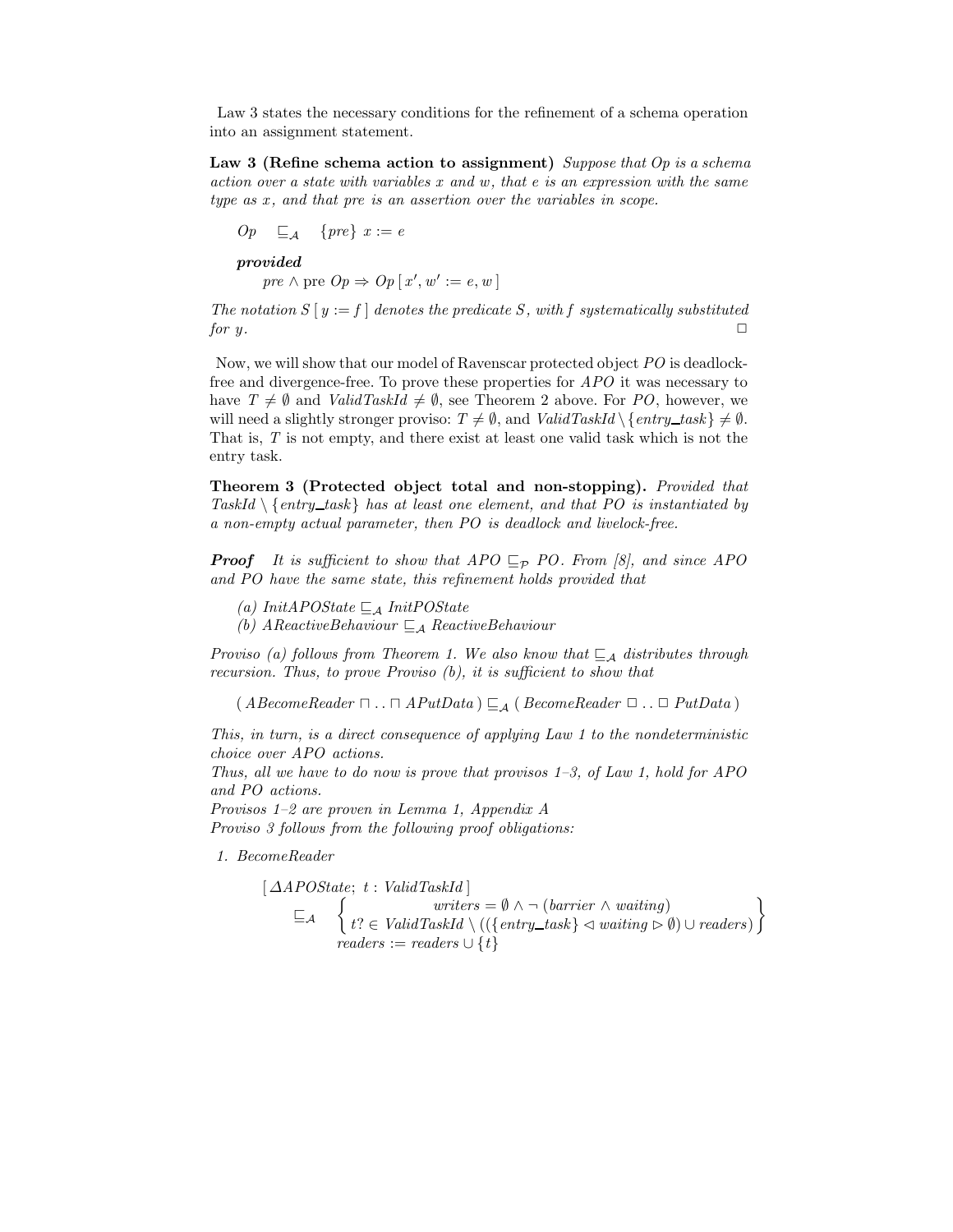Law 3 states the necessary conditions for the refinement of a schema operation into an assignment statement.

**Law 3 (Refine schema action to assignment)** *Suppose that Op is a schema action over a state with variables x and w, that e is an expression with the same type as x , and that pre is an assertion over the variables in scope.*

 $Op \subseteq_A \{pre\} x := e$ *provided*  $pre \wedge pre \mathcal{O}p \Rightarrow Op[x', w' := e, w]$ 

*The notation*  $S[y := f]$  *denotes the predicate*  $S$ *, with*  $f$  *systematically substituted for y.* 

Now, we will show that ourmodel of Ravenscarprotected object *PO* is deadlockfree and divergence-free. To prove these properties for *APO* it was necessary to have  $T \neq \emptyset$  and *ValidTaskId*  $\neq \emptyset$ , see Theorem 2 above. For *PO*, however, we will need a slightly stronger proviso:  $T \neq \emptyset$ , and  $ValidTaskId \setminus \{entry\_task\} \neq \emptyset$ . That is, *T* is not empty, and there exist at least one valid task which is not the entry task.

**Theorem 3 (Protected object total and non-stopping).** *Provided that* TaskId  $\{$  *{entry\_task} has at least one element, and that PO is instantiated by a non-empty actual parameter, then PO is deadlock and livelock-free.*

*Proof* It is sufficient to show that APO  $\subseteq_{\mathcal{P}}$  PO. From [8], and since APO *and PO have the same state, this refinement holds provided that*

- *(a)*  $InitAPOState \sqsubseteq_{\mathcal{A}} IntPOState$
- *(b)* AReactiveBehaviour  $\mathcal{L}_A$  ReactiveBehaviour

*Proviso (a) follows from Theorem 1. We also know that*  $\sqsubseteq_A$  *distributes through recursion. Thus, to prove Proviso (b), it is sufficient to show that*

 $( \textit{ABecomeReader} \sqcap \ldots \sqcap \textit{APutData}) \sqsubseteq_{\mathcal{A}} (\textit{BecauseReader} \sqcup \ldots \sqcup \textit{PutData})$ 

*This, in turn, is a direct consequence of applying Law 1 to the nondeterministic choice over APO actions.*

*Thus, all we have to do now is prove that provisos 1–3, of Law 1, hold for APO and PO actions.*

*Provisos 1–2 are proven in Lemma 1, Appendix A Proviso 3 follows from the following proof obligations:*

*1. BecomeReader*

[ ∆*APOState*; *t* : *ValidTaskId* ]  $\sqsubseteq_{\mathcal{A}}$  *writers* = ∅∧¬ (*barrier* ∧ *waiting*) *t*? ∈ *ValidTaskId*  $\setminus ((\{entry\_task\} \lhd waiting \rhd \emptyset) \cup readers)$  $\mathcal{L}$  $readers := readers \cup \{t\}$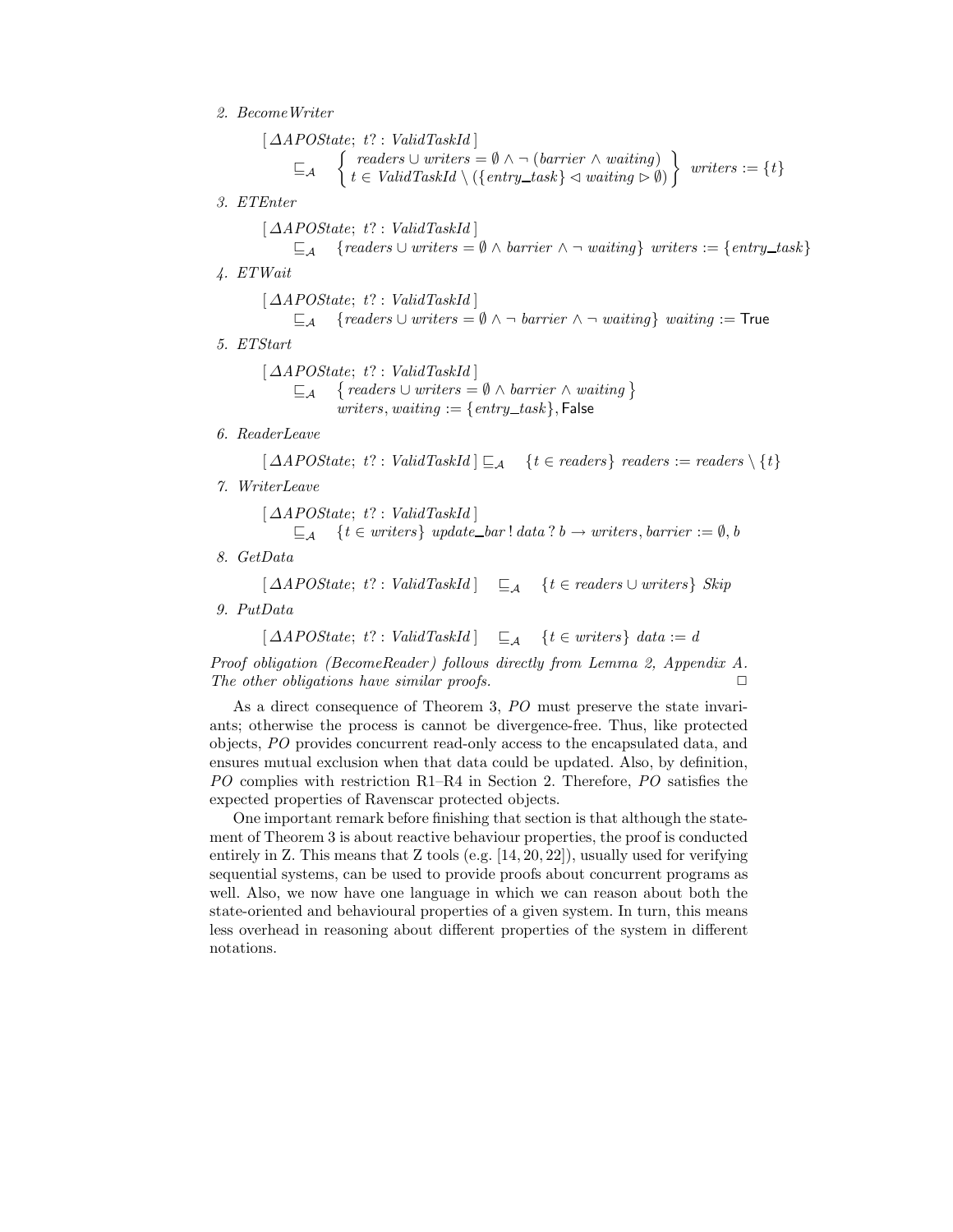*2. BecomeWriter*

[ ∆*APOState*; *t*? : *ValidTaskId* ]  $\sqsubseteq_{\mathcal{A}}$  *readers* ∪ *writers* = ∅∧¬ (*barrier* ∧ *waiting*)  $t \in ValidTaskId \setminus (\{entry\_task\} \triangleleft waiting \triangleright \emptyset)$  $\mathcal{L}$  $writers := \{t\}$ 

*3. ETEnter*

[ ∆*APOState*; *t*? : *ValidTaskId* ]

 $\sqsubseteq$ <sub>A</sub> {*readers* ∪ *writers* =  $\emptyset$  ∧ *barrier* ∧ ¬ *waiting*} *writers* := {*entry\_task*}

*4. ETWait*

[ ∆*APOState*; *t*? : *ValidTaskId* ] <sup>A</sup> {*readers* ∪ *writers* = ∅∧¬ *barrier* ∧ ¬ *waiting*} *waiting* := True

*5. ETStart*

[ ∆*APOState*; *t*? : *ValidTaskId* ]  $\sqsubseteq_{\mathcal{A}}$  { *readers* ∪ *writers* = Ø ∧ *barrier* ∧ *waiting* }  $writers, waiting := {entry\_task}$ , False

*6. ReaderLeave*

 $\Delta APOState; t$ ? : *ValidTaskId*  $\subseteq_{\mathcal{A}}$  {*t* ∈ *readers*} *readers* := *readers* \ {*t*}

*7. WriterLeave*

[ ∆*APOState*; *t*? : *ValidTaskId* ]

 $\subseteq$ <sub>*A*</sub> {*t* ∈ *writers*} *update\_bar* ! *data* ? *b* → *writers*, *barrier* := Ø, *b* 

*8. GetData*

 $\left[ \Delta APOState; t$ ? : *ValidTaskId*  $\right]$   $\subseteq$ <sub>*A*</sub>  $\{t \in readers \cup writers\}$  *Skip* 

*9. PutData*

 $\Delta APOState$ ; *t*? : *ValidTaskId*  $\subseteq$   $\{t \in writers\}$  *data* := *d* 

*Proof obligation (BecomeReader ) follows directly from Lemma 2, Appendix A.* The other obligations have similar proofs.

As a direct consequence of Theorem 3, *PO* must preserve the state invariants; otherwise the process is cannot be divergence-free. Thus, like protected objects, *PO* provides concurrent read-only access to the encapsulated data, and ensures mutual exclusion when that data could be updated. Also, by definition, *PO* complies with restriction R1–R4 in Section 2. Therefore, *PO* satisfies the expected properties of Ravenscar protected objects.

One important remark before finishing that section is that although the statement of Theorem 3 is about reactive behaviour properties, the proof is conducted entirely in Z. This means that Z tools (e.g. [14, 20, 22]), usually used for verifying sequential systems, can be used to provide proofs about concurrent programs as well. Also, we now have one language in which we can reason about both the state-oriented and behavioural properties of a given system. In turn, this means less overhead in reasoning about different properties of the system in different notations.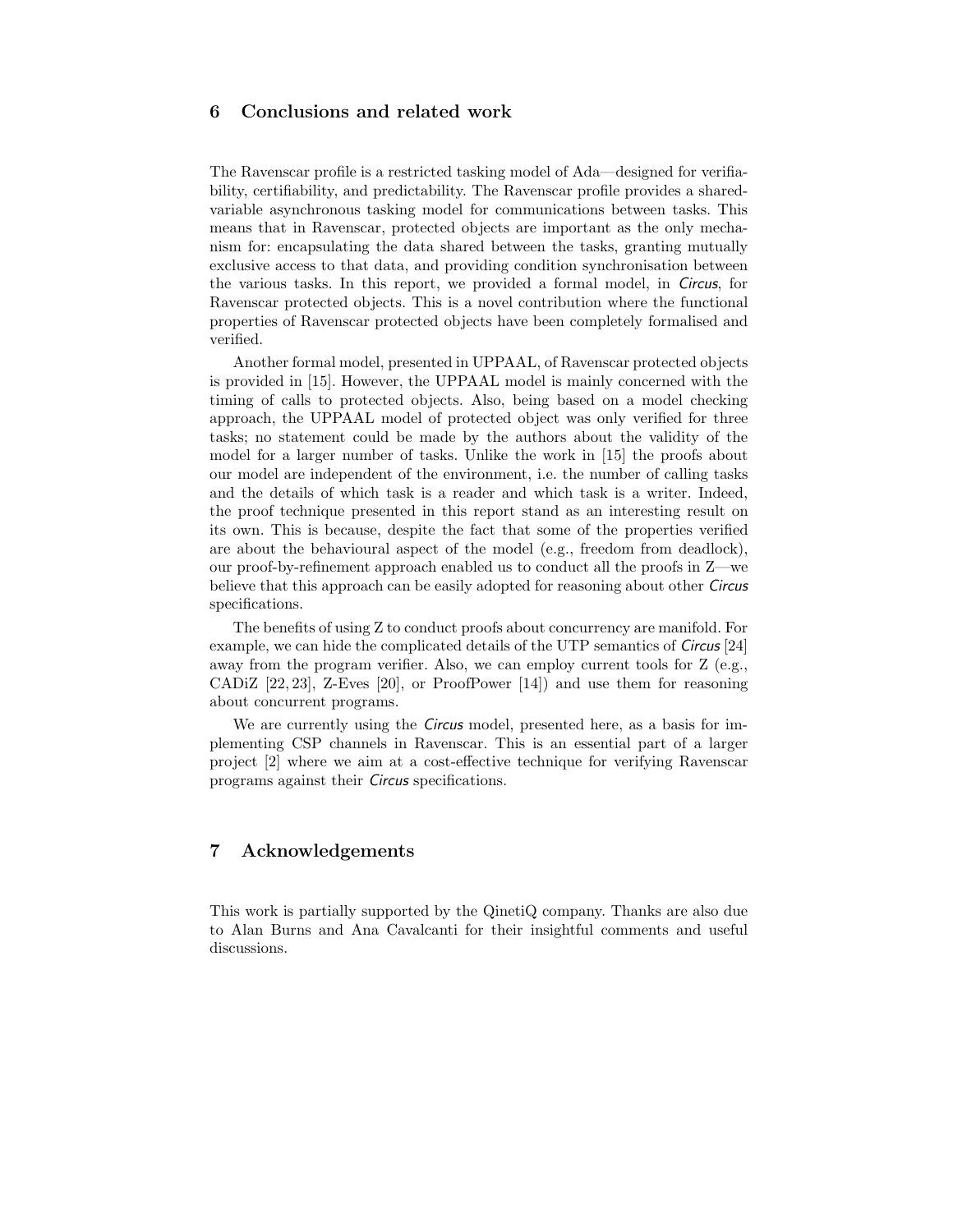# **6 Conclusions and related work**

The Ravenscar profile is a restricted tasking model of Ada—designed for verifiability, certifiability, and predictability. The Ravenscar profile provides a sharedvariable asynchronous tasking model for communications between tasks. This means that in Ravenscar, protected objects are important as the only mechanism for: encapsulating the data shared between the tasks, granting mutually exclusive access to that data, and providing condition synchronisation between the various tasks. In this report, we provided a formal model, in *Circus*, for Ravenscar protected objects. This is a novel contribution where the functional properties of Ravenscar protected objects have been completely formalised and verified.

Another formal model, presented in UPPAAL, of Ravenscar protected objects is provided in [15]. However, the UPPAAL model is mainly concerned with the timing of calls to protected objects. Also, being based on a model checking approach, the UPPAAL model of protected object was only verified for three tasks; no statement could be made by the authors about the validity of the model for a larger number of tasks. Unlike the work in [15] the proofs about our model are independent of the environment, i.e. the number of calling tasks and the details of which task is a reader and which task is a writer. Indeed, the proof technique presented in this report stand as an interesting result on its own. This is because, despite the fact that some of the properties verified are about the behavioural aspect of the model (e.g., freedom from deadlock), our proof-by-refinement approach enabled us to conduct all the proofs in Z—we believe that this approach can be easily adopted for reasoning about other *Circus* specifications.

The benefits of using Z to conduct proofs about concurrency are manifold. For example, we can hide the complicated details of the UTP semantics of *Circus* [24] away from the program verifier. Also, we can employ current tools for Z (e.g., CADiZ [22, 23], Z-Eves [20], or ProofPower [14]) and use them for reasoning about concurrent programs.

We are currently using the *Circus* model, presented here, as a basis for implementing CSP channels in Ravenscar. This is an essential part of a larger project [2] where we aim at a cost-effective technique for verifying Ravenscar programs against their *Circus* specifications.

## **7 Acknowledgements**

This work is partially supported by the QinetiQ company. Thanks are also due to Alan Burns and Ana Cavalcanti for their insightful comments and useful discussions.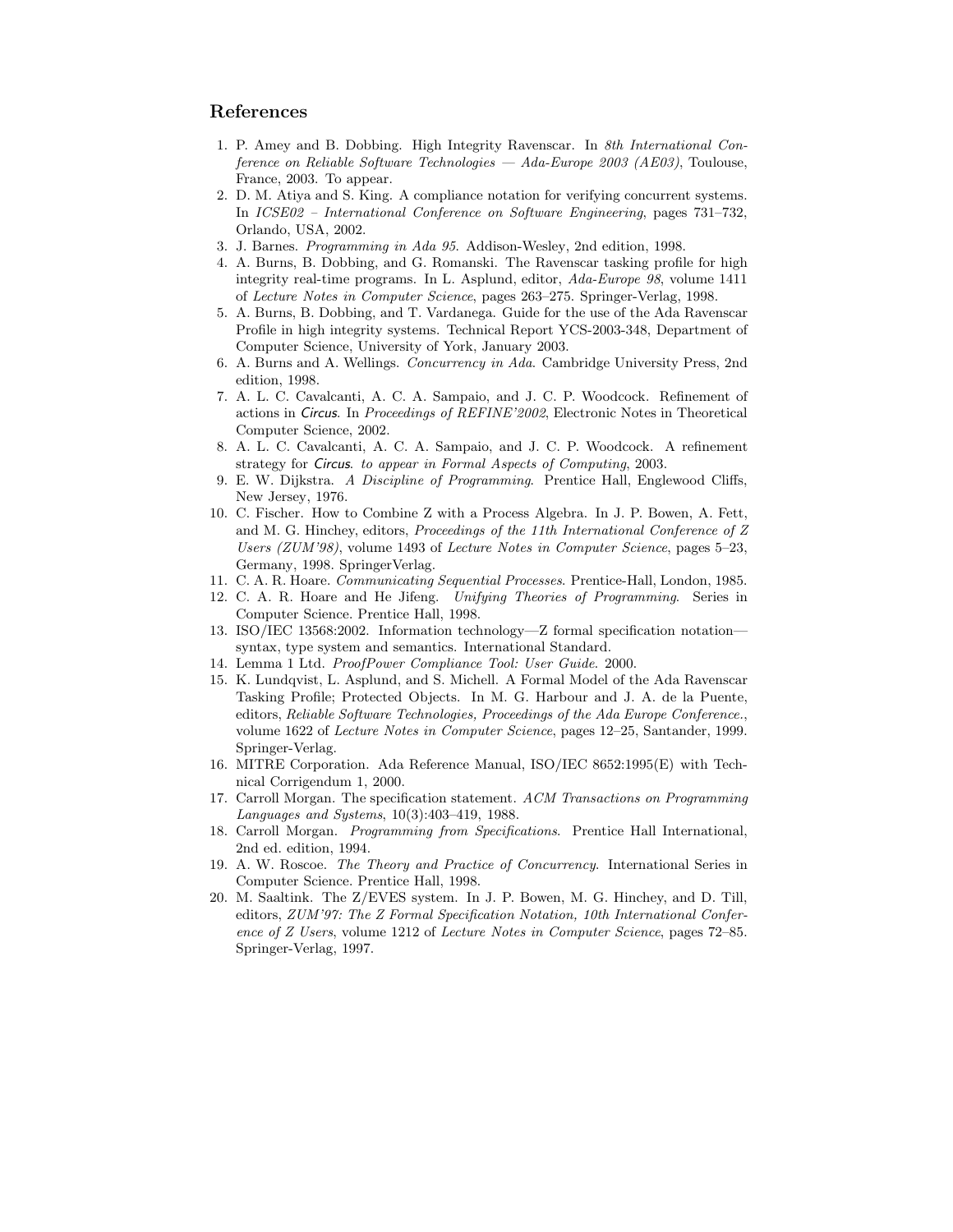## **References**

- 1. P. Amey and B. Dobbing. High Integrity Ravenscar. In *8th International Conference on Reliable Software Technologies — Ada-Europe 2003 (AE03)*, Toulouse, France, 2003. To appear.
- 2. D. M. Atiya and S. King. A compliance notation for verifying concurrent systems. In *ICSE02 – International Conference on Software Engineering*, pages 731–732, Orlando, USA, 2002.
- 3. J. Barnes. *Programming in Ada 95*. Addison-Wesley, 2nd edition, 1998.
- 4. A. Burns, B. Dobbing, and G. Romanski. The Ravenscar tasking profile for high integrity real-time programs. In L. Asplund, editor, *Ada-Europe 98*, volume 1411 of *Lecture Notes in Computer Science*, pages 263–275. Springer-Verlag, 1998.
- 5. A. Burns, B. Dobbing, and T. Vardanega. Guide for the use of the Ada Ravenscar Profile in high integrity systems. Technical Report YCS-2003-348, Department of Computer Science, University of York, January 2003.
- 6. A. Burns and A. Wellings. *Concurrency in Ada*. Cambridge University Press, 2nd edition, 1998.
- 7. A . L. C. Cavalcanti, A . C. A . Sampaio, and J. C. P. Woodcock. Refinement of actions in *Circus*. In *Proceedings of REFINE'2002*, Electronic Notes in Theoretical Computer Science, 2002.
- 8. A. L. C. Cavalcanti, A. C. A. Sampaio, and J. C. P. Woodcock. A refinement strategy for *Circus*. *to appear in Formal Aspects of Computing*, 2003.
- 9. E. W. Dijkstra. *A Discipline of Programming*. Prentice Hall, Englewood Cliffs, New Jersey, 1976.
- 10. C. Fischer. How to Combine Z with a Process Algebra. In J. P. Bowen, A. Fett, and M. G. Hinchey, editors, *Proceedings of the 11th International Conference of Z Users (ZUM'98)*, volume 1493 of *Lecture Notes in Computer Science*, pages 5–23, Germany, 1998. SpringerVerlag.
- 11. C. A. R. Hoare. *Communicating Sequential Processes*. Prentice-Hall, London, 1985.
- 12. C. A. R. Hoare and He Jifeng. *Unifying Theories of Programming*. Series in Computer Science. Prentice Hall, 1998.
- 13. ISO/IEC 13568:2002. Information technology—Z formal specification notation syntax, type system and semantics. International Standard.
- 14. Lemma 1 Ltd. *ProofPower Compliance Tool: User Guide*. 2000.
- 15. K. Lundqvist, L. Asplund, and S. Michell. A Formal Model of the Ada Ravenscar Tasking Profile; Protected Objects. In M. G. Harbour and J. A. de la Puente, editors, *Reliable Software Technologies, Proceedings of the Ada Europe Conference.*, volume 1622 of *Lecture Notes in Computer Science*, pages 12–25, Santander, 1999. Springer-Verlag.
- 16. MITRE Corporation. Ada Reference Manual, ISO/IEC 8652:1995(E) with Technical Corrigendum 1, 2000.
- 17. Carroll Morgan. The specification statement. *ACM Transactions on Programming Languages and Systems*, 10(3):403–419, 1988.
- 18. Carroll Morgan. *Programming from Specifications*. Prentice Hall International, 2nd ed. edition, 1994.
- 19. A. W. Roscoe. *The Theory and Practice of Concurrency*. International Series in Computer Science. Prentice Hall, 1998.
- 20. M. Saaltink. The Z/EVES system. In J. P. Bowen, M. G. Hinchey, and D. Till, editors, *ZUM'97: The Z Formal Specification Notation, 10th International Conference of Z Users*, volume 1212 of *Lecture Notes in Computer Science*, pages 72–85. Springer-Verlag, 1997.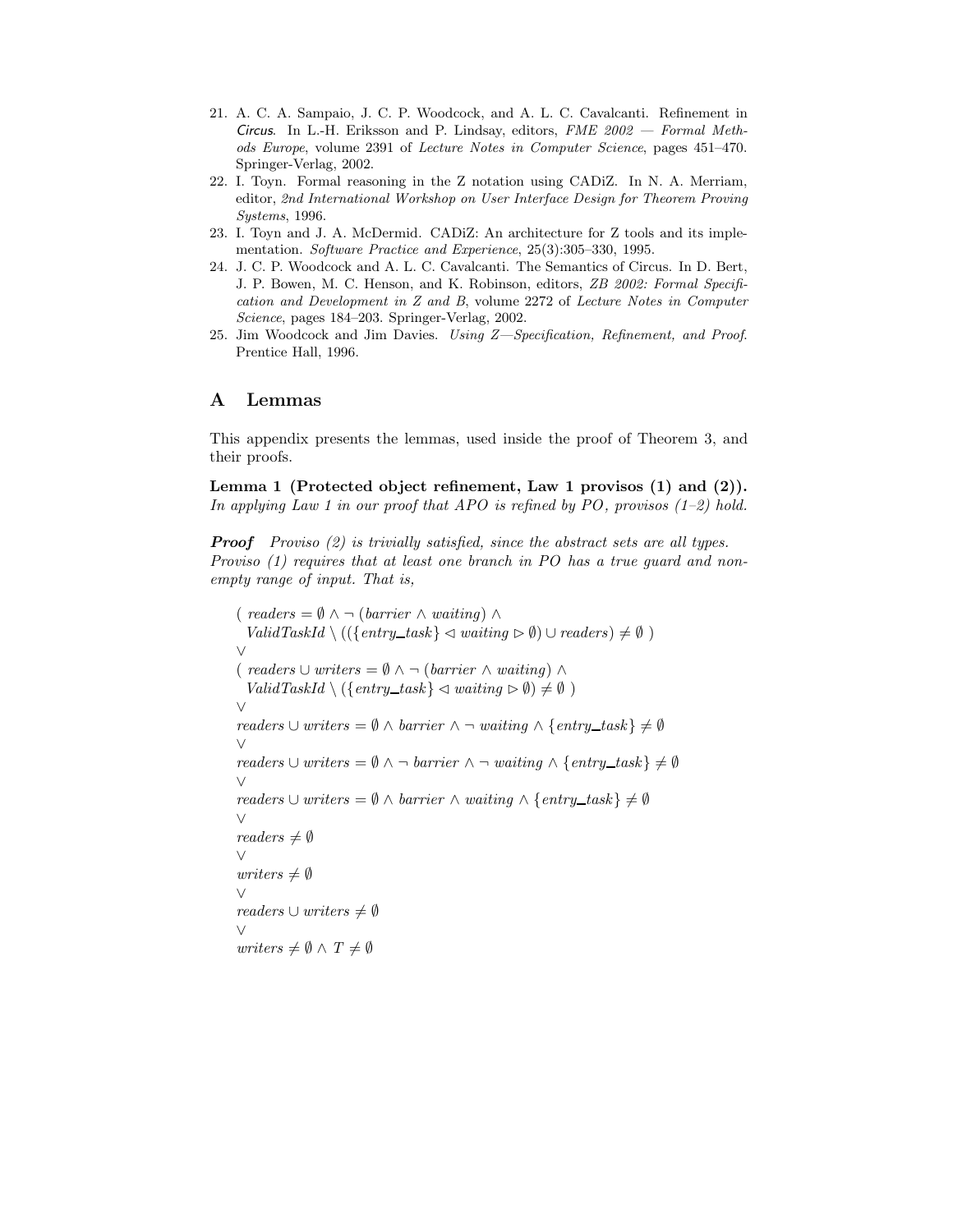- 21. A . C. A . Sampaio, J. C. P. Woodcock, and A . L. C. Cavalcanti. Refinement in *Circus*. In L.-H. Eriksson and P. Lindsay, editors, *FME 2002 — Formal Methods Europe*, volume 2391 of *Lecture Notes in Computer Science*, pages 451–470. Springer-Verlag, 2002.
- 22. I. Toyn. Formal reasoning in the Z notation using CADiZ. In N. A. Merriam, editor, *2nd International Workshop on User Interface Design for Theorem Proving Systems*, 1996.
- 23. I. Toyn and J. A. McDermid. CADiZ: An architecture for Z tools and its implementation. *Software Practice and Experience*, 25(3):305–330, 1995.
- 24. J. C. P. Woodcock and A. L. C. Cavalcanti. The Semantics of Circus. In D. Bert, J. P. Bowen, M. C. Henson, and K. Robinson, editors, *ZB 2002: Formal Specification and Development in Z and B*, volume 2272 of *Lecture Notes in Computer Science*, pages 184–203. Springer-Verlag, 2002.
- 25. Jim Woodcock and Jim Davies. *Using Z—Specification, Refinement, and Proof*. Prentice Hall, 1996.

## **A Lemmas**

This appendix presents the lemmas, used inside the proof of Theorem 3, and their proofs.

**Lemma 1 (Protected object refinement, Law 1 provisos (1) and (2)).** *In applying Law 1 in our proof that APO is refined by PO , provisos (1–2) hold.*

*Proof Proviso (2) is trivially satisfied, since the abstract sets are all types. Proviso (1) requires that at least one branch in PO has a true guard and nonempty range of input. That is,*

```
( readers = ∅∧¬ (barrier ∧ waiting) ∧
  ValidTaskId \setminus ((\{entry\_task\} \lhd waiting \rhd \emptyset) \cup readers) \neq \emptyset)∨
( readers ∪ writers = ∅∧¬ (barrier ∧ waiting) ∧
  ValidTaskId \setminus (\{entry\_task\} \triangleleft waiting \triangleright \emptyset) \neq \emptyset)∨
readers \cup writers = \emptyset \wedge barrier \wedge \neg waiting \wedge {entry_task} \neq \emptyset∨
readers ∪ writers = \emptyset \land \neg barrier \land \neg waiting \land {entry_task} \neq \emptyset∨
readers \cup writers = \emptyset \wedge barrier \wedge waiting \wedge {entry_task} \neq \emptyset∨
readers \neq \emptyset∨
writers \neq \emptyset∨
readers ∪ writers \neq Ø
∨
writers \neq \emptyset \land T \neq \emptyset
```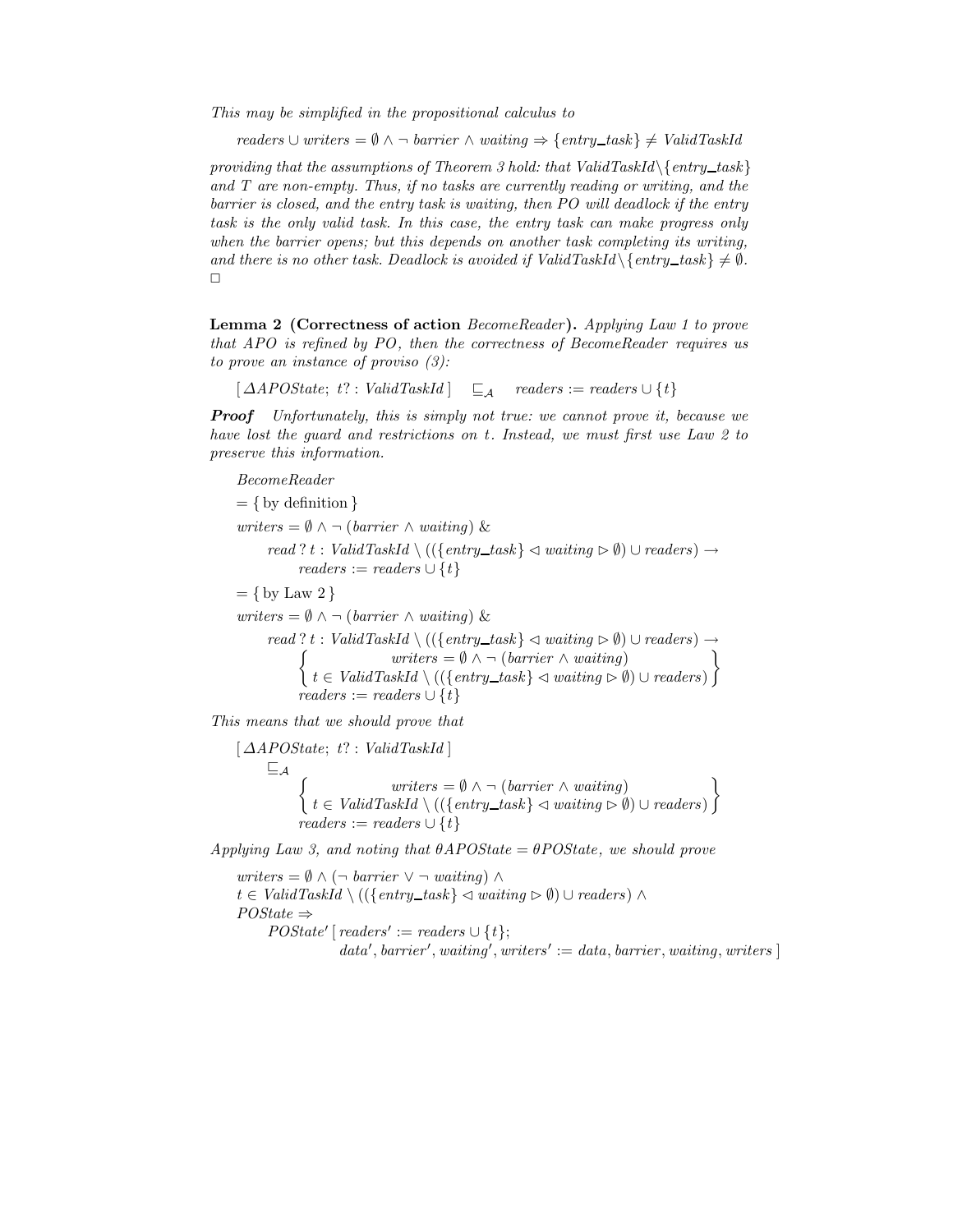*This may be simplified in the propositional calculus to*

*readers* ∪ *writers* =  $\emptyset \land \neg$  *barrier*  $\land$  *waiting*  $\Rightarrow$  {*entry\_task*}  $\neq$  *ValidTaskId* 

*providing that the assumptions of Theorem 3 hold: that ValidTaskId*\{*entry task*} *and T are non-empty. Thus, if no tasks are currently reading or writing, and the barrier is closed, and the entry task is waiting, then PO will deadlock if the entry task is the only valid task. In this case, the entry task can make progress only when the barrier opens; but this depends on another task completing its writing, and there is no other task. Deadlock is avoided if ValidTaskId*  $\{entry\_task\} \neq \emptyset$ *.*  $\Box$ 

**Lemma 2 (Correctness of action** *BecomeReader***).** *Applying Law 1 to prove that APO is refined by PO , then the correctness of BecomeReader requires us to prove an instance of proviso (3):*

 $\Box APOState; t$ ? : *ValidTaskId*  $\Box A$  *readers* := *readers*  $\cup$  {*t*}

*Proof Unfortunately, this is simply not true: we cannot prove it, because we have lost the guard and restrictions on t . Instead, we must first use Law 2 to preserve this information.*

```
BecomeReader
= \{ by definition \}writers = ∅∧¬ (barrier ∧ waiting) &
      read ? t : ValidTaskId \setminus (({entry\_task} \leq waiting \triangleright \emptyset) \cup readers) \rightarrowreaders := readers \cup \{t\}= \{ by Law 2 \}writers = \emptyset ∧ ¬ (barrier ∧ waiting) &
      read ? t : ValidTaskId \setminus (({entry\_task} \leq waiting \triangleright \emptyset) \cup readers) \rightarrow
writers = ∅∧¬ (barrier ∧ waiting)
               t \in ValidTaskId \setminus (({entry\_task} \leq waiting \rhd \emptyset) \cup readers)\mathcal{L}readers := readers \cup {t}
```
*This means that we should prove that*

[ ∆*APOState*; *t*? : *ValidTaskId* ]  $\sqsubseteq_{\mathcal{A}}$  *writers* = ∅∧¬ (*barrier* ∧ *waiting*)  $t \in ValidTaskId \setminus (({entry\_task} \leq waiting \rhd \emptyset) \cup readers)$  $\mathcal{L}$  $readers := readers \cup \{t\}$ 

*Applying Law 3, and noting that* θ*APOState* = θ*POState, we should prove*

 $writers = ∅ ∧ (¬ barrier ∨ ¬ waiting) ∧$ *t* ∈ *ValidTaskId*  $\setminus ((\{entry\_task\} \lhd waiting \rhd \emptyset) \cup readers) \wedge$ *POState* ⇒  $POState'$  [  $readers' := readers \cup \{t\}$ ;  $data', barrier', waiting', writers' := data, barrier, waiting, writers$